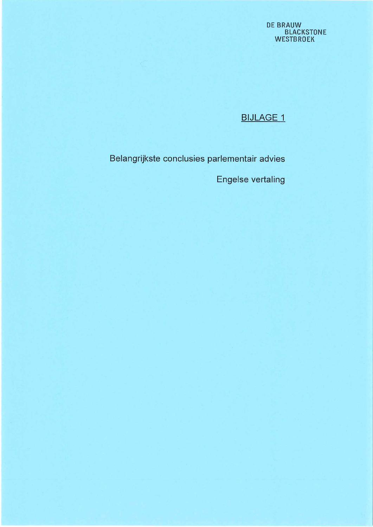# **DE BRAUW<br>BLACKSTONE<br>WESTBROEK**

# **BIJLAGE 1**

Belangrijkste conclusies parlementair advies

**Engelse vertaling**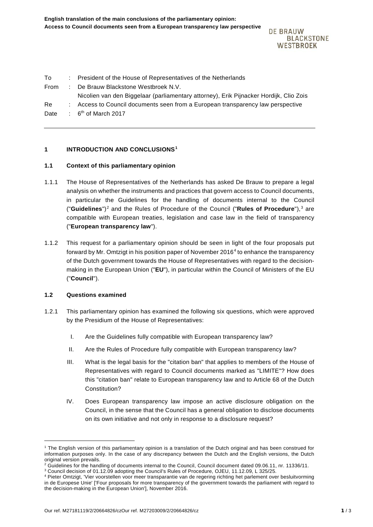**DE BRAUW BLACKSTONE** WESTBROEK

| To   | : President of the House of Representatives of the Netherlands                         |  |
|------|----------------------------------------------------------------------------------------|--|
| From | : De Brauw Blackstone Westbroek N.V.                                                   |  |
|      | Nicolien van den Biggelaar (parliamentary attorney), Erik Pijnacker Hordijk, Clio Zois |  |
| Re.  | Access to Council documents seen from a European transparency law perspective          |  |
| Date | : $6th$ of March 2017                                                                  |  |
|      |                                                                                        |  |

## **1 INTRODUCTION AND CONCLUSIONS[1](#page-1-0)**

## **1.1 Context of this parliamentary opinion**

- 1.1.1 The House of Representatives of the Netherlands has asked De Brauw to prepare a legal analysis on whether the instruments and practices that govern access to Council documents, in particular the Guidelines for the handling of documents internal to the Council ("**Guidelines**")[2](#page-1-1) and the Rules of Procedure of the Council ("**Rules of Procedure**"), [3](#page-1-2) are compatible with European treaties, legislation and case law in the field of transparency ("**European transparency law**").
- 1.1.2 This request for a parliamentary opinion should be seen in light of the four proposals put forward by Mr. Omtzigt in his position paper of November 2016 $4$  to enhance the transparency of the Dutch government towards the House of Representatives with regard to the decisionmaking in the European Union ("**EU**"), in particular within the Council of Ministers of the EU ("**Council**").

## **1.2 Questions examined**

-

- 1.2.1 This parliamentary opinion has examined the following six questions, which were approved by the Presidium of the House of Representatives:
	- I. Are the Guidelines fully compatible with European transparency law?
	- II. Are the Rules of Procedure fully compatible with European transparency law?
	- III. What is the legal basis for the "citation ban" that applies to members of the House of Representatives with regard to Council documents marked as "LIMITE"? How does this "citation ban" relate to European transparency law and to Article 68 of the Dutch Constitution?
	- IV. Does European transparency law impose an active disclosure obligation on the Council, in the sense that the Council has a general obligation to disclose documents on its own initiative and not only in response to a disclosure request?

<span id="page-1-0"></span><sup>1</sup> The English version of this parliamentary opinion is a translation of the Dutch original and has been construed for information purposes only. In the case of any discrepancy between the Dutch and the English versions, the Dutch original version prevails.

<span id="page-1-1"></span> $2$  Guidelines for the handling of documents internal to the Council, Council document dated 09.06.11, nr. 11336/11.

<span id="page-1-2"></span><sup>3</sup> Council decision of 01.12.09 adopting the Council's Rules of Procedure, OJEU, 11.12.09, L 325/25.

<span id="page-1-3"></span><sup>4</sup> Pieter Omtzigt, 'Vier voorstellen voor meer transparantie van de regering richting het parlement over besluitvorming in de Europese Unie' ['Four proposals for more transparency of the government towards the parliament with regard to the decision-making in the European Union'], November 2016.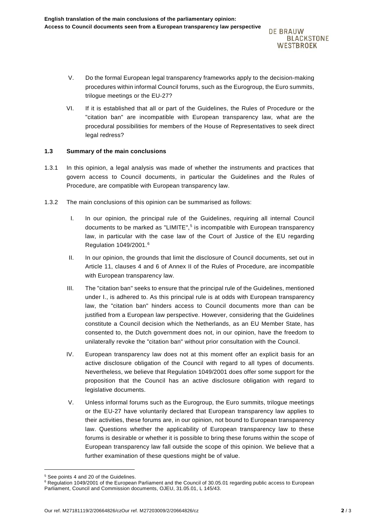**DE BRAUW BLACKSTONE** WESTBROEK

- V. Do the formal European legal transparency frameworks apply to the decision-making procedures within informal Council forums, such as the Eurogroup, the Euro summits, trilogue meetings or the EU-27?
- VI. If it is established that all or part of the Guidelines, the Rules of Procedure or the "citation ban" are incompatible with European transparency law, what are the procedural possibilities for members of the House of Representatives to seek direct legal redress?

## **1.3 Summary of the main conclusions**

- 1.3.1 In this opinion, a legal analysis was made of whether the instruments and practices that govern access to Council documents, in particular the Guidelines and the Rules of Procedure, are compatible with European transparency law.
- 1.3.2 The main conclusions of this opinion can be summarised as follows:
	- I. In our opinion, the principal rule of the Guidelines, requiring all internal Council documents to be marked as "LIMITE",<sup>[5](#page-2-0)</sup> is incompatible with European transparency law, in particular with the case law of the Court of Justice of the EU regarding Regulation 1049/2001.[6](#page-2-1)
	- II. In our opinion, the grounds that limit the disclosure of Council documents, set out in Article 11, clauses 4 and 6 of Annex II of the Rules of Procedure, are incompatible with European transparency law.
	- III. The "citation ban" seeks to ensure that the principal rule of the Guidelines, mentioned under I., is adhered to. As this principal rule is at odds with European transparency law, the "citation ban" hinders access to Council documents more than can be justified from a European law perspective. However, considering that the Guidelines constitute a Council decision which the Netherlands, as an EU Member State, has consented to, the Dutch government does not, in our opinion, have the freedom to unilaterally revoke the "citation ban" without prior consultation with the Council.
	- IV. European transparency law does not at this moment offer an explicit basis for an active disclosure obligation of the Council with regard to all types of documents. Nevertheless, we believe that Regulation 1049/2001 does offer some support for the proposition that the Council has an active disclosure obligation with regard to legislative documents.
	- V. Unless informal forums such as the Eurogroup, the Euro summits, trilogue meetings or the EU-27 have voluntarily declared that European transparency law applies to their activities, these forums are, in our opinion, not bound to European transparency law. Questions whether the applicability of European transparency law to these forums is desirable or whether it is possible to bring these forums within the scope of European transparency law fall outside the scope of this opinion. We believe that a further examination of these questions might be of value.

-

<sup>5</sup> See points 4 and 20 of the Guidelines.

<span id="page-2-1"></span><span id="page-2-0"></span><sup>6</sup> Regulation 1049/2001 of the European Parliament and the Council of 30.05.01 regarding public access to European Parliament, Council and Commission documents, OJEU, 31.05.01, L 145/43.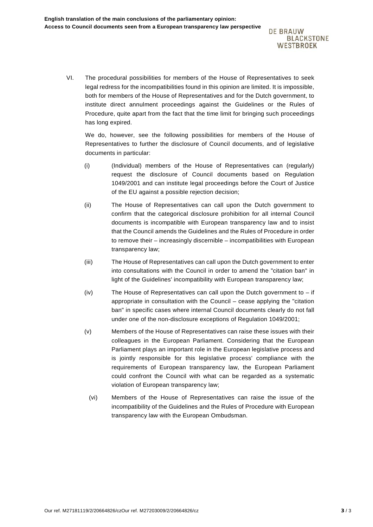**DE BRAUW BLACKSTONE** WESTBROEK

VI. The procedural possibilities for members of the House of Representatives to seek legal redress for the incompatibilities found in this opinion are limited. It is impossible, both for members of the House of Representatives and for the Dutch government, to institute direct annulment proceedings against the Guidelines or the Rules of Procedure, quite apart from the fact that the time limit for bringing such proceedings has long expired.

We do, however, see the following possibilities for members of the House of Representatives to further the disclosure of Council documents, and of legislative documents in particular:

- (i) (Individual) members of the House of Representatives can (regularly) request the disclosure of Council documents based on Regulation 1049/2001 and can institute legal proceedings before the Court of Justice of the EU against a possible rejection decision;
- (ii) The House of Representatives can call upon the Dutch government to confirm that the categorical disclosure prohibition for all internal Council documents is incompatible with European transparency law and to insist that the Council amends the Guidelines and the Rules of Procedure in order to remove their – increasingly discernible – incompatibilities with European transparency law;
- (iii) The House of Representatives can call upon the Dutch government to enter into consultations with the Council in order to amend the "citation ban" in light of the Guidelines' incompatibility with European transparency law;
- (iv) The House of Representatives can call upon the Dutch government to if appropriate in consultation with the Council – cease applying the "citation ban" in specific cases where internal Council documents clearly do not fall under one of the non-disclosure exceptions of Regulation 1049/2001;
- (v) Members of the House of Representatives can raise these issues with their colleagues in the European Parliament. Considering that the European Parliament plays an important role in the European legislative process and is jointly responsible for this legislative process' compliance with the requirements of European transparency law, the European Parliament could confront the Council with what can be regarded as a systematic violation of European transparency law;
	- (vi) Members of the House of Representatives can raise the issue of the incompatibility of the Guidelines and the Rules of Procedure with European transparency law with the European Ombudsman.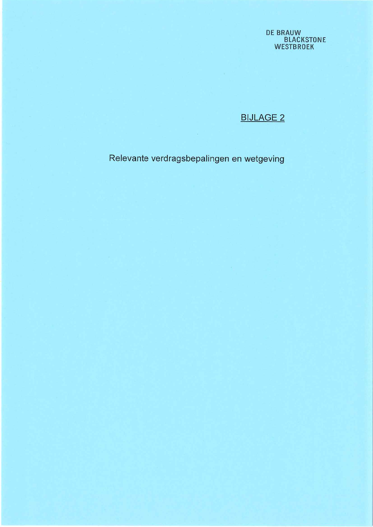**DE BRAUW<br>BLACKSTONE<br>WESTBROEK** 

**BIJLAGE 2** 

Relevante verdragsbepalingen en wetgeving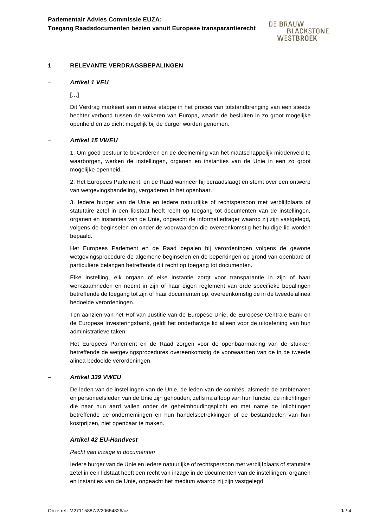## **1 RELEVANTE VERDRAGSBEPALINGEN**

## − *Artikel 1 VEU*

 $[\ldots]$ 

Dit Verdrag markeert een nieuwe etappe in het proces van totstandbrenging van een steeds hechter verbond tussen de volkeren van Europa, waarin de besluiten in zo groot mogelijke openheid en zo dicht mogelijk bij de burger worden genomen.

#### − *Artikel 15 VWEU*

1. Om goed bestuur te bevorderen en de deelneming van het maatschappelijk middenveld te waarborgen, werken de instellingen, organen en instanties van de Unie in een zo groot mogelijke openheid.

2. Het Europees Parlement, en de Raad wanneer hij beraadslaagt en stemt over een ontwerp van wetgevingshandeling, vergaderen in het openbaar.

3. Iedere burger van de Unie en iedere natuurlijke of rechtspersoon met verblijfplaats of statutaire zetel in een lidstaat heeft recht op toegang tot documenten van de instellingen, organen en instanties van de Unie, ongeacht de informatiedrager waarop zij zijn vastgelegd, volgens de beginselen en onder de voorwaarden die overeenkomstig het huidige lid worden bepaald.

Het Europees Parlement en de Raad bepalen bij verordeningen volgens de gewone wetgevingsprocedure de algemene beginselen en de beperkingen op grond van openbare of particuliere belangen betreffende dit recht op toegang tot documenten.

Elke instelling, elk orgaan of elke instantie zorgt voor transparantie in zijn of haar werkzaamheden en neemt in zijn of haar eigen reglement van orde specifieke bepalingen betreffende de toegang tot zijn of haar documenten op, overeenkomstig de in de tweede alinea bedoelde verordeningen.

Ten aanzien van het Hof van Justitie van de Europese Unie, de Europese Centrale Bank en de Europese Investeringsbank, geldt het onderhavige lid alleen voor de uitoefening van hun administratieve taken.

Het Europees Parlement en de Raad zorgen voor de openbaarmaking van de stukken betreffende de wetgevingsprocedures overeenkomstig de voorwaarden van de in de tweede alinea bedoelde verordeningen.

## − *Artikel 339 VWEU*

De leden van de instellingen van de Unie, de leden van de comités, alsmede de ambtenaren en personeelsleden van de Unie zijn gehouden, zelfs na afloop van hun functie, de inlichtingen die naar hun aard vallen onder de geheimhoudingsplicht en met name de inlichtingen betreffende de ondernemingen en hun handelsbetrekkingen of de bestanddelen van hun kostprijzen, niet openbaar te maken.

## − *Artikel 42 EU-Handvest*

#### *Recht van inzage in documenten*

Iedere burger van de Unie en iedere natuurlijke of rechtspersoon met verblijfplaats of statutaire zetel in een lidstaat heeft een recht van inzage in de documenten van de instellingen, organen en instanties van de Unie, ongeacht het medium waarop zij zijn vastgelegd.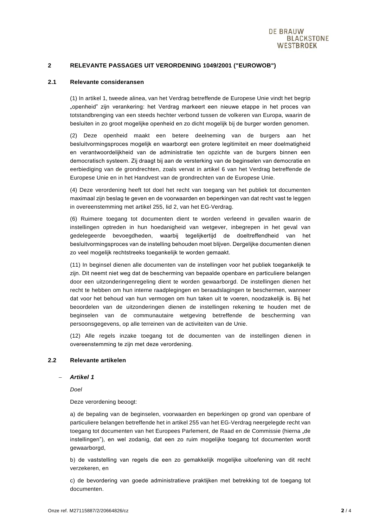## **2 RELEVANTE PASSAGES UIT VERORDENING 1049/2001 ("EUROWOB")**

#### **2.1 Relevante consideransen**

(1) In artikel 1, tweede alinea, van het Verdrag betreffende de Europese Unie vindt het begrip "openheid" zijn verankering: het Verdrag markeert een nieuwe etappe in het proces van totstandbrenging van een steeds hechter verbond tussen de volkeren van Europa, waarin de besluiten in zo groot mogelijke openheid en zo dicht mogelijk bij de burger worden genomen.

(2) Deze openheid maakt een betere deelneming van de burgers aan het besluitvormingsproces mogelijk en waarborgt een grotere legitimiteit en meer doelmatigheid en verantwoordelijkheid van de administratie ten opzichte van de burgers binnen een democratisch systeem. Zij draagt bij aan de versterking van de beginselen van democratie en eerbiediging van de grondrechten, zoals vervat in artikel 6 van het Verdrag betreffende de Europese Unie en in het Handvest van de grondrechten van de Europese Unie.

(4) Deze verordening heeft tot doel het recht van toegang van het publiek tot documenten maximaal zijn beslag te geven en de voorwaarden en beperkingen van dat recht vast te leggen in overeenstemming met artikel 255, lid 2, van het EG-Verdrag.

(6) Ruimere toegang tot documenten dient te worden verleend in gevallen waarin de instellingen optreden in hun hoedanigheid van wetgever, inbegrepen in het geval van gedelegeerde bevoegdheden, waarbij tegelijkertijd de doeltreffendheid van het besluitvormingsproces van de instelling behouden moet blijven. Dergelijke documenten dienen zo veel mogelijk rechtstreeks toegankelijk te worden gemaakt.

(11) In beginsel dienen alle documenten van de instellingen voor het publiek toegankelijk te zijn. Dit neemt niet weg dat de bescherming van bepaalde openbare en particuliere belangen door een uitzonderingenregeling dient te worden gewaarborgd. De instellingen dienen het recht te hebben om hun interne raadplegingen en beraadslagingen te beschermen, wanneer dat voor het behoud van hun vermogen om hun taken uit te voeren, noodzakelijk is. Bij het beoordelen van de uitzonderingen dienen de instellingen rekening te houden met de beginselen van de communautaire wetgeving betreffende de bescherming van persoonsgegevens, op alle terreinen van de activiteiten van de Unie.

(12) Alle regels inzake toegang tot de documenten van de instellingen dienen in overeenstemming te zijn met deze verordening.

#### **2.2 Relevante artikelen**

#### − *Artikel 1*

*Doel*

Deze verordening beoogt:

a) de bepaling van de beginselen, voorwaarden en beperkingen op grond van openbare of particuliere belangen betreffende het in artikel 255 van het EG-Verdrag neergelegde recht van toegang tot documenten van het Europees Parlement, de Raad en de Commissie (hierna "de instellingen"), en wel zodanig, dat een zo ruim mogelijke toegang tot documenten wordt gewaarborgd,

b) de vaststelling van regels die een zo gemakkelijk mogelijke uitoefening van dit recht verzekeren, en

c) de bevordering van goede administratieve praktijken met betrekking tot de toegang tot documenten.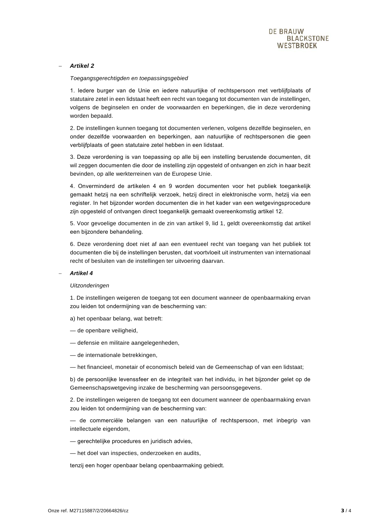## − *Artikel 2*

#### *Toegangsgerechtigden en toepassingsgebied*

1. Iedere burger van de Unie en iedere natuurlijke of rechtspersoon met verblijfplaats of statutaire zetel in een lidstaat heeft een recht van toegang tot documenten van de instellingen, volgens de beginselen en onder de voorwaarden en beperkingen, die in deze verordening worden bepaald.

2. De instellingen kunnen toegang tot documenten verlenen, volgens dezelfde beginselen, en onder dezelfde voorwaarden en beperkingen, aan natuurlijke of rechtspersonen die geen verblijfplaats of geen statutaire zetel hebben in een lidstaat.

3. Deze verordening is van toepassing op alle bij een instelling berustende documenten, dit wil zeggen documenten die door de instelling zijn opgesteld of ontvangen en zich in haar bezit bevinden, op alle werkterreinen van de Europese Unie.

4. Onverminderd de artikelen 4 en 9 worden documenten voor het publiek toegankelijk gemaakt hetzij na een schriftelijk verzoek, hetzij direct in elektronische vorm, hetzij via een register. In het bijzonder worden documenten die in het kader van een wetgevingsprocedure zijn opgesteld of ontvangen direct toegankelijk gemaakt overeenkomstig artikel 12.

5. Voor gevoelige documenten in de zin van artikel 9, lid 1, geldt overeenkomstig dat artikel een bijzondere behandeling.

6. Deze verordening doet niet af aan een eventueel recht van toegang van het publiek tot documenten die bij de instellingen berusten, dat voortvloeit uit instrumenten van internationaal recht of besluiten van de instellingen ter uitvoering daarvan.

#### − *Artikel 4*

#### *Uitzonderingen*

1. De instellingen weigeren de toegang tot een document wanneer de openbaarmaking ervan zou leiden tot ondermijning van de bescherming van:

a) het openbaar belang, wat betreft:

- de openbare veiligheid,
- defensie en militaire aangelegenheden,
- de internationale betrekkingen,
- het financieel, monetair of economisch beleid van de Gemeenschap of van een lidstaat;

b) de persoonlijke levenssfeer en de integriteit van het individu, in het bijzonder gelet op de Gemeenschapswetgeving inzake de bescherming van persoonsgegevens.

2. De instellingen weigeren de toegang tot een document wanneer de openbaarmaking ervan zou leiden tot ondermijning van de bescherming van:

— de commerciële belangen van een natuurlijke of rechtspersoon, met inbegrip van intellectuele eigendom,

- gerechtelijke procedures en juridisch advies,
- het doel van inspecties, onderzoeken en audits,

tenzij een hoger openbaar belang openbaarmaking gebiedt.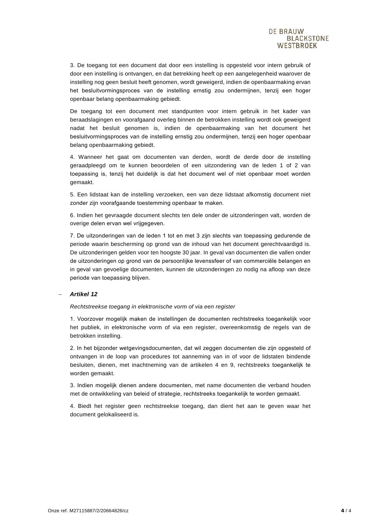3. De toegang tot een document dat door een instelling is opgesteld voor intern gebruik of door een instelling is ontvangen, en dat betrekking heeft op een aangelegenheid waarover de instelling nog geen besluit heeft genomen, wordt geweigerd, indien de openbaarmaking ervan het besluitvormingsproces van de instelling ernstig zou ondermijnen, tenzij een hoger openbaar belang openbaarmaking gebiedt.

De toegang tot een document met standpunten voor intern gebruik in het kader van beraadslagingen en voorafgaand overleg binnen de betrokken instelling wordt ook geweigerd nadat het besluit genomen is, indien de openbaarmaking van het document het besluitvormingsproces van de instelling ernstig zou ondermijnen, tenzij een hoger openbaar belang openbaarmaking gebiedt.

4. Wanneer het gaat om documenten van derden, wordt de derde door de instelling geraadpleegd om te kunnen beoordelen of een uitzondering van de leden 1 of 2 van toepassing is, tenzij het duidelijk is dat het document wel of niet openbaar moet worden gemaakt.

5. Een lidstaat kan de instelling verzoeken, een van deze lidstaat afkomstig document niet zonder zijn voorafgaande toestemming openbaar te maken.

6. Indien het gevraagde document slechts ten dele onder de uitzonderingen valt, worden de overige delen ervan wel vrijgegeven.

7. De uitzonderingen van de leden 1 tot en met 3 zijn slechts van toepassing gedurende de periode waarin bescherming op grond van de inhoud van het document gerechtvaardigd is. De uitzonderingen gelden voor ten hoogste 30 jaar. In geval van documenten die vallen onder de uitzonderingen op grond van de persoonlijke levenssfeer of van commerciële belangen en in geval van gevoelige documenten, kunnen de uitzonderingen zo nodig na afloop van deze periode van toepassing blijven.

#### − *Artikel 12*

*Rechtstreekse toegang in elektronische vorm of via een register*

1. Voorzover mogelijk maken de instellingen de documenten rechtstreeks toegankelijk voor het publiek, in elektronische vorm of via een register, overeenkomstig de regels van de betrokken instelling.

2. In het bijzonder wetgevingsdocumenten, dat wil zeggen documenten die zijn opgesteld of ontvangen in de loop van procedures tot aanneming van in of voor de lidstaten bindende besluiten, dienen, met inachtneming van de artikelen 4 en 9, rechtstreeks toegankelijk te worden gemaakt.

3. Indien mogelijk dienen andere documenten, met name documenten die verband houden met de ontwikkeling van beleid of strategie, rechtstreeks toegankelijk te worden gemaakt.

4. Biedt het register geen rechtstreekse toegang, dan dient het aan te geven waar het document gelokaliseerd is.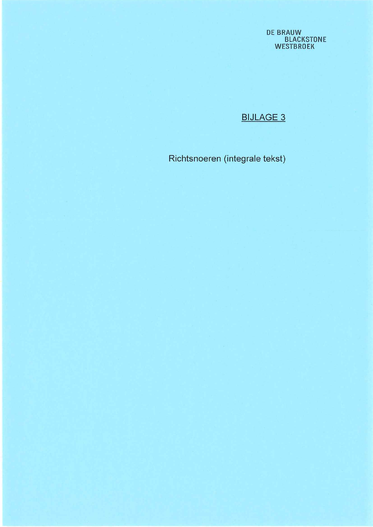**DE BRAUW<br>BLACKSTONE<br>WESTBROEK** 

# **BIJLAGE 3**

Richtsnoeren (integrale tekst)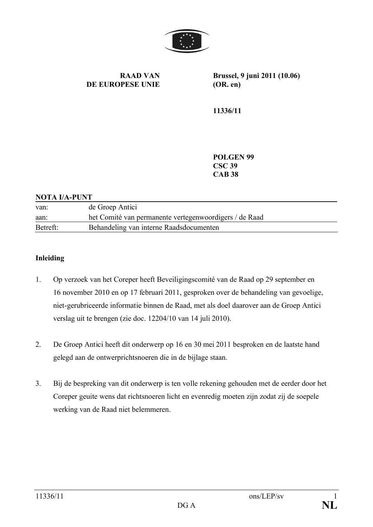

**RAAD VAN DE EUROPESE UNIE** **Brussel, 9 juni 2011 (10.06) (OR. en)**

**11336/11**

**POLGEN 99 CSC 39 CAB 38**

## **NOTA I/A-PUNT**

| van:     | de Groep Antici                                        |
|----------|--------------------------------------------------------|
| aan:     | het Comité van permanente vertegenwoordigers / de Raad |
| Betreft: | Behandeling van interne Raadsdocumenten                |

## **Inleiding**

- 1. Op verzoek van het Coreper heeft Beveiligingscomité van de Raad op 29 september en 16 november 2010 en op 17 februari 2011, gesproken over de behandeling van gevoelige, niet-gerubriceerde informatie binnen de Raad, met als doel daarover aan de Groep Antici verslag uit te brengen (zie doc. 12204/10 van 14 juli 2010).
- 2. De Groep Antici heeft dit onderwerp op 16 en 30 mei 2011 besproken en de laatste hand gelegd aan de ontwerprichtsnoeren die in de bijlage staan.
- 3. Bij de bespreking van dit onderwerp is ten volle rekening gehouden met de eerder door het Coreper geuite wens dat richtsnoeren licht en evenredig moeten zijn zodat zij de soepele werking van de Raad niet belemmeren.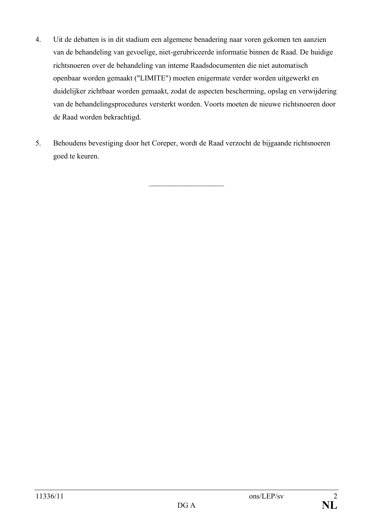- 4. Uit de debatten is in dit stadium een algemene benadering naar voren gekomen ten aanzien van de behandeling van gevoelige, niet-gerubriceerde informatie binnen de Raad. De huidige richtsnoeren over de behandeling van interne Raadsdocumenten die niet automatisch openbaar worden gemaakt ("LIMITE") moeten enigermate verder worden uitgewerkt en duidelijker zichtbaar worden gemaakt, zodat de aspecten bescherming, opslag en verwijdering van de behandelingsprocedures versterkt worden. Voorts moeten de nieuwe richtsnoeren door de Raad worden bekrachtigd.
- 5. Behoudens bevestiging door het Coreper, wordt de Raad verzocht de bijgaande richtsnoeren goed te keuren.

 $\overline{\phantom{a}}$  , where  $\overline{\phantom{a}}$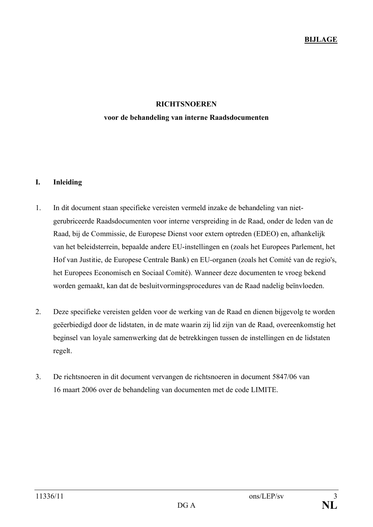## **RICHTSNOEREN**

## **voor de behandeling van interne Raadsdocumenten**

## **I. Inleiding**

- 1. In dit document staan specifieke vereisten vermeld inzake de behandeling van nietgerubriceerde Raadsdocumenten voor interne verspreiding in de Raad, onder de leden van de Raad, bij de Commissie, de Europese Dienst voor extern optreden (EDEO) en, afhankelijk van het beleidsterrein, bepaalde andere EU-instellingen en (zoals het Europees Parlement, het Hof van Justitie, de Europese Centrale Bank) en EU-organen (zoals het Comité van de regio's, het Europees Economisch en Sociaal Comité). Wanneer deze documenten te vroeg bekend worden gemaakt, kan dat de besluitvormingsprocedures van de Raad nadelig beïnvloeden.
- 2. Deze specifieke vereisten gelden voor de werking van de Raad en dienen bijgevolg te worden geëerbiedigd door de lidstaten, in de mate waarin zij lid zijn van de Raad, overeenkomstig het beginsel van loyale samenwerking dat de betrekkingen tussen de instellingen en de lidstaten regelt.
- 3. De richtsnoeren in dit document vervangen de richtsnoeren in document 5847/06 van 16 maart 2006 over de behandeling van documenten met de code LIMITE.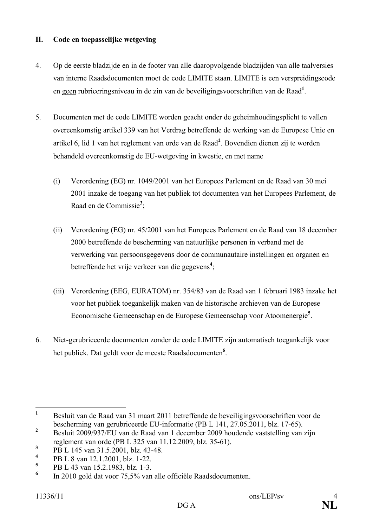## **II. Code en toepasselijke wetgeving**

- 4. Op de eerste bladzijde en in de footer van alle daaropvolgende bladzijden van alle taalversies van interne Raadsdocumenten moet de code LIMITE staan. LIMITE is een verspreidingscode en geen rubriceringsniveau in de zin van de beveiligingsvoorschriften van de Raad**<sup>1</sup>** .
- 5. Documenten met de code LIMITE worden geacht onder de geheimhoudingsplicht te vallen overeenkomstig artikel 339 van het Verdrag betreffende de werking van de Europese Unie en artikel 6, lid 1 van het reglement van orde van de Raad**<sup>2</sup>** . Bovendien dienen zij te worden behandeld overeenkomstig de EU-wetgeving in kwestie, en met name
	- (i) Verordening (EG) nr. 1049/2001 van het Europees Parlement en de Raad van 30 mei 2001 inzake de toegang van het publiek tot documenten van het Europees Parlement, de Raad en de Commissie**<sup>3</sup>** ;
	- (ii) Verordening (EG) nr. 45/2001 van het Europees Parlement en de Raad van 18 december 2000 betreffende de bescherming van natuurlijke personen in verband met de verwerking van persoonsgegevens door de communautaire instellingen en organen en betreffende het vrije verkeer van die gegevens**<sup>4</sup>** ;
	- (iii) Verordening (EEG, EURATOM) nr. 354/83 van de Raad van 1 februari 1983 inzake het voor het publiek toegankelijk maken van de historische archieven van de Europese Economische Gemeenschap en de Europese Gemeenschap voor Atoomenergie**<sup>5</sup>** .
- 6. Niet-gerubriceerde documenten zonder de code LIMITE zijn automatisch toegankelijk voor het publiek. Dat geldt voor de meeste Raadsdocumenten**<sup>6</sup>** .

**<sup>1</sup>** Besluit van de Raad van 31 maart 2011 betreffende de beveiligingsvoorschriften voor de bescherming van gerubriceerde EU-informatie (PB L 141, 27.05.2011, blz. 17-65).

<sup>&</sup>lt;sup>2</sup> Besluit 2009/937/EU van de Raad van 1 december 2009 houdende vaststelling van zijn reglement van orde (PB L 325 van 11.12.2009, blz. 35-61).

**<sup>3</sup>** PB L 145 van 31.5.2001, blz. 43-48.

**<sup>4</sup>** PB L 8 van 12.1.2001, blz. 1-22.

**<sup>5</sup>** PB L 43 van 15.2.1983, blz. 1-3.

**<sup>6</sup>** In 2010 gold dat voor 75,5% van alle officiële Raadsdocumenten.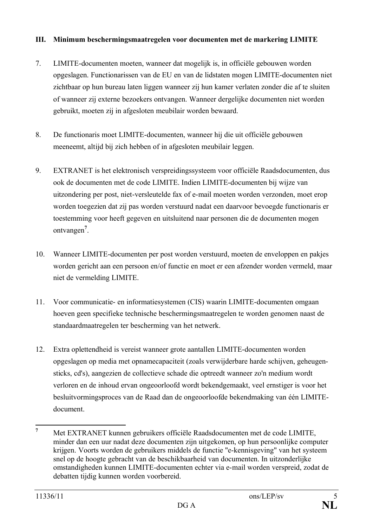## **III. Minimum beschermingsmaatregelen voor documenten met de markering LIMITE**

- 7. LIMITE-documenten moeten, wanneer dat mogelijk is, in officiële gebouwen worden opgeslagen. Functionarissen van de EU en van de lidstaten mogen LIMITE-documenten niet zichtbaar op hun bureau laten liggen wanneer zij hun kamer verlaten zonder die af te sluiten of wanneer zij externe bezoekers ontvangen. Wanneer dergelijke documenten niet worden gebruikt, moeten zij in afgesloten meubilair worden bewaard.
- 8. De functionaris moet LIMITE-documenten, wanneer hij die uit officiële gebouwen meeneemt, altijd bij zich hebben of in afgesloten meubilair leggen.
- 9. EXTRANET is het elektronisch verspreidingssysteem voor officiële Raadsdocumenten, dus ook de documenten met de code LIMITE. Indien LIMITE-documenten bij wijze van uitzondering per post, niet-versleutelde fax of e-mail moeten worden verzonden, moet erop worden toegezien dat zij pas worden verstuurd nadat een daarvoor bevoegde functionaris er toestemming voor heeft gegeven en uitsluitend naar personen die de documenten mogen ontvangen**<sup>7</sup>** .
- 10. Wanneer LIMITE-documenten per post worden verstuurd, moeten de enveloppen en pakjes worden gericht aan een persoon en/of functie en moet er een afzender worden vermeld, maar niet de vermelding LIMITE.
- 11. Voor communicatie- en informatiesystemen (CIS) waarin LIMITE-documenten omgaan hoeven geen specifieke technische beschermingsmaatregelen te worden genomen naast de standaardmaatregelen ter bescherming van het netwerk.
- 12. Extra oplettendheid is vereist wanneer grote aantallen LIMITE-documenten worden opgeslagen op media met opnamecapaciteit (zoals verwijderbare harde schijven, geheugensticks, cd's), aangezien de collectieve schade die optreedt wanneer zo'n medium wordt verloren en de inhoud ervan ongeoorloofd wordt bekendgemaakt, veel ernstiger is voor het besluitvormingsproces van de Raad dan de ongeoorloofde bekendmaking van één LIMITEdocument.

**<sup>7</sup>** Met EXTRANET kunnen gebruikers officiële Raadsdocumenten met de code LIMITE, minder dan een uur nadat deze documenten zijn uitgekomen, op hun persoonlijke computer krijgen. Voorts worden de gebruikers middels de functie "e-kennisgeving" van het systeem snel op de hoogte gebracht van de beschikbaarheid van documenten. In uitzonderlijke omstandigheden kunnen LIMITE-documenten echter via e-mail worden verspreid, zodat de debatten tijdig kunnen worden voorbereid.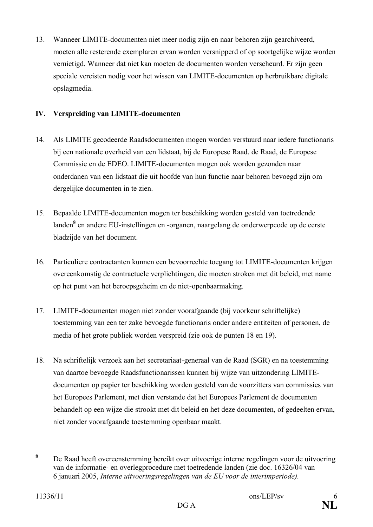13. Wanneer LIMITE-documenten niet meer nodig zijn en naar behoren zijn gearchiveerd, moeten alle resterende exemplaren ervan worden versnipperd of op soortgelijke wijze worden vernietigd. Wanneer dat niet kan moeten de documenten worden verscheurd. Er zijn geen speciale vereisten nodig voor het wissen van LIMITE-documenten op herbruikbare digitale opslagmedia.

## **IV. Verspreiding van LIMITE-documenten**

- 14. Als LIMITE gecodeerde Raadsdocumenten mogen worden verstuurd naar iedere functionaris bij een nationale overheid van een lidstaat, bij de Europese Raad, de Raad, de Europese Commissie en de EDEO. LIMITE-documenten mogen ook worden gezonden naar onderdanen van een lidstaat die uit hoofde van hun functie naar behoren bevoegd zijn om dergelijke documenten in te zien.
- 15. Bepaalde LIMITE-documenten mogen ter beschikking worden gesteld van toetredende landen**<sup>8</sup>** en andere EU-instellingen en -organen, naargelang de onderwerpcode op de eerste bladzijde van het document.
- 16. Particuliere contractanten kunnen een bevoorrechte toegang tot LIMITE-documenten krijgen overeenkomstig de contractuele verplichtingen, die moeten stroken met dit beleid, met name op het punt van het beroepsgeheim en de niet-openbaarmaking.
- 17. LIMITE-documenten mogen niet zonder voorafgaande (bij voorkeur schriftelijke) toestemming van een ter zake bevoegde functionaris onder andere entiteiten of personen, de media of het grote publiek worden verspreid (zie ook de punten 18 en 19).
- 18. Na schriftelijk verzoek aan het secretariaat-generaal van de Raad (SGR) en na toestemming van daartoe bevoegde Raadsfunctionarissen kunnen bij wijze van uitzondering LIMITEdocumenten op papier ter beschikking worden gesteld van de voorzitters van commissies van het Europees Parlement, met dien verstande dat het Europees Parlement de documenten behandelt op een wijze die strookt met dit beleid en het deze documenten, of gedeelten ervan, niet zonder voorafgaande toestemming openbaar maakt.

**<sup>8</sup>** De Raad heeft overeenstemming bereikt over uitvoerige interne regelingen voor de uitvoering van de informatie- en overlegprocedure met toetredende landen (zie doc. 16326/04 van 6 januari 2005, *Interne uitvoeringsregelingen van de EU voor de interimperiode).*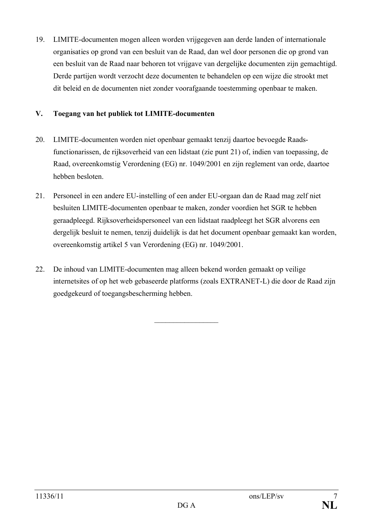19. LIMITE-documenten mogen alleen worden vrijgegeven aan derde landen of internationale organisaties op grond van een besluit van de Raad, dan wel door personen die op grond van een besluit van de Raad naar behoren tot vrijgave van dergelijke documenten zijn gemachtigd. Derde partijen wordt verzocht deze documenten te behandelen op een wijze die strookt met dit beleid en de documenten niet zonder voorafgaande toestemming openbaar te maken.

## **V. Toegang van het publiek tot LIMITE-documenten**

- 20. LIMITE-documenten worden niet openbaar gemaakt tenzij daartoe bevoegde Raadsfunctionarissen, de rijksoverheid van een lidstaat (zie punt 21) of, indien van toepassing, de Raad, overeenkomstig Verordening (EG) nr. 1049/2001 en zijn reglement van orde, daartoe hebben besloten.
- 21. Personeel in een andere EU-instelling of een ander EU-orgaan dan de Raad mag zelf niet besluiten LIMITE-documenten openbaar te maken, zonder voordien het SGR te hebben geraadpleegd. Rijksoverheidspersoneel van een lidstaat raadpleegt het SGR alvorens een dergelijk besluit te nemen, tenzij duidelijk is dat het document openbaar gemaakt kan worden, overeenkomstig artikel 5 van Verordening (EG) nr. 1049/2001.
- 22. De inhoud van LIMITE-documenten mag alleen bekend worden gemaakt op veilige internetsites of op het web gebaseerde platforms (zoals EXTRANET-L) die door de Raad zijn goedgekeurd of toegangsbescherming hebben.

 $\overline{\phantom{a}}$  , where  $\overline{\phantom{a}}$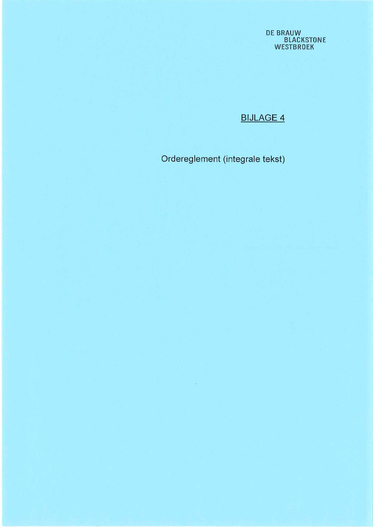**DE BRAUW<br>BLACKSTONE<br>WESTBROEK** 

# **BIJLAGE 4**

Ordereglement (integrale tekst)

 $\mathbb{R}^n$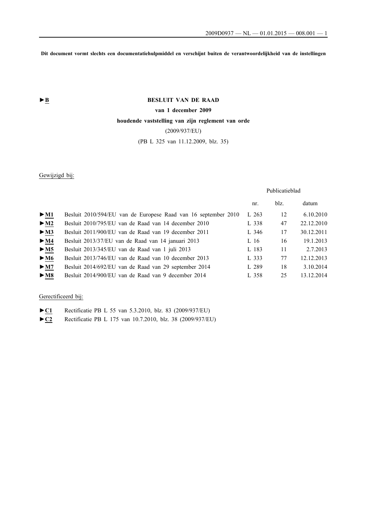**Dit document vormt slechts een documentatiehulpmiddel en verschijnt buiten de verantwoordelijkheid van de instellingen**

## **►B BESLUIT VAN DE RAAD**

## **van 1 december 2009**

## **houdende vaststelling van zijn reglement van orde**

(2009/937/EU)

## (PB L 325 van 11.12.2009, blz. 35)

## Gewijzigd bij:

#### Publicatieblad

|                                        |                                                                | nr.   | blz. | datum      |
|----------------------------------------|----------------------------------------------------------------|-------|------|------------|
| $\triangleright$ <u>M1</u>             | Besluit 2010/594/EU van de Europese Raad van 16 september 2010 | L263  | 12   | 6.10.2010  |
| $\triangleright$ <u>M2</u>             | Besluit 2010/795/EU van de Raad van 14 december 2010           | L 338 | 47   | 22.12.2010 |
| $\triangleright$ <u>M3</u>             | Besluit 2011/900/EU van de Raad van 19 december 2011           | L 346 | 17   | 30.12.2011 |
| $\triangleright$ <u>M4</u>             | Besluit 2013/37/EU van de Raad van 14 januari 2013             | L 16  | 16   | 19.1.2013  |
| $\triangleright$ <u>M5</u>             | Besluit 2013/345/EU van de Raad van 1 juli 2013                | L 183 | 11   | 2.7.2013   |
| $\triangleright \underline{\text{M6}}$ | Besluit 2013/746/EU van de Raad van 10 december 2013           | L 333 | 77   | 12.12.2013 |
| $\triangleright$ <u>M7</u>             | Besluit 2014/692/EU van de Raad van 29 september 2014          | L 289 | 18   | 3.10.2014  |
| $\blacktriangleright$ M <sub>8</sub>   | Besluit 2014/900/EU van de Raad van 9 december 2014            | L 358 | 25   | 13.12.2014 |

## Gerectificeerd bij:

►**C1** Rectificatie PB L 55 van 5.3.2010, blz. 83 (2009/937/EU)

►**C2** Rectificatie PB L 175 van 10.7.2010, blz. 38 (2009/937/EU)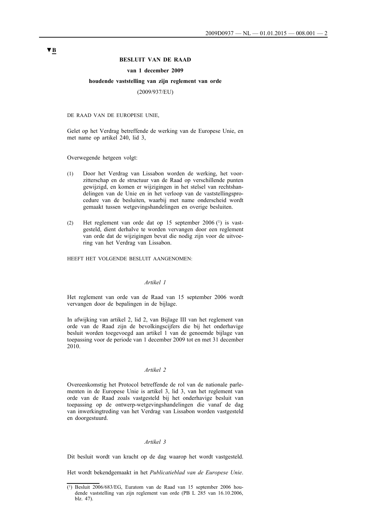#### **BESLUIT VAN DE RAAD**

#### **van 1 december 2009**

#### **houdende vaststelling van zijn reglement van orde**

(2009/937/EU)

DE RAAD VAN DE EUROPESE UNIE,

Gelet op het Verdrag betreffende de werking van de Europese Unie, en met name op artikel 240, lid 3,

Overwegende hetgeen volgt:

- (1) Door het Verdrag van Lissabon worden de werking, het voorzitterschap en de structuur van de Raad op verschillende punten gewijzigd, en komen er wijzigingen in het stelsel van rechtshandelingen van de Unie en in het verloop van de vaststellingsprocedure van de besluiten, waarbij met name onderscheid wordt gemaakt tussen wetgevingshandelingen en overige besluiten.
- (2) Het reglement van orde dat op 15 september 2006 (1) is vastgesteld, dient derhalve te worden vervangen door een reglement van orde dat de wijzigingen bevat die nodig zijn voor de uitvoering van het Verdrag van Lissabon.

HEEFT HET VOLGENDE BESLUIT AANGENOMEN:

#### *Artikel 1*

Het reglement van orde van de Raad van 15 september 2006 wordt vervangen door de bepalingen in de bijlage.

In afwijking van artikel 2, lid 2, van Bijlage III van het reglement van orde van de Raad zijn de bevolkingscijfers die bij het onderhavige besluit worden toegevoegd aan artikel 1 van de genoemde bijlage van toepassing voor de periode van 1 december 2009 tot en met 31 december 2010.

## *Artikel 2*

Overeenkomstig het Protocol betreffende de rol van de nationale parlementen in de Europese Unie is artikel 3, lid 3, van het reglement van orde van de Raad zoals vastgesteld bij het onderhavige besluit van toepassing op de ontwerp-wetgevingshandelingen die vanaf de dag van inwerkingtreding van het Verdrag van Lissabon worden vastgesteld en doorgestuurd.

#### *Artikel 3*

Dit besluit wordt van kracht op de dag waarop het wordt vastgesteld.

Het wordt bekendgemaakt in het *Publicatieblad van de Europese Unie*.

<sup>(1)</sup> Besluit 2006/683/EG, Euratom van de Raad van 15 september 2006 houdende vaststelling van zijn reglement van orde (PB L 285 van 16.10.2006, blz. 47).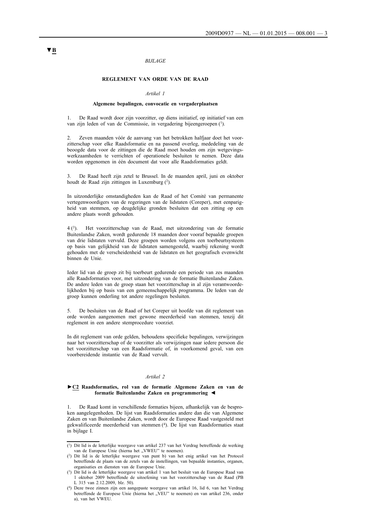#### *BIJLAGE*

#### **REGLEMENT VAN ORDE VAN DE RAAD**

#### *Artikel 1*

#### **Algemene bepalingen, convocatie en vergaderplaatsen**

1. De Raad wordt door zijn voorzitter, op diens initiatief, op initiatief van een van zijn leden of van de Commissie, in vergadering bijeengeroepen (1).

Zeven maanden vóór de aanvang van het betrokken halfjaar doet het voorzitterschap voor elke Raadsformatie en na passend overleg, mededeling van de beoogde data voor de zittingen die de Raad moet houden om zijn wetgevingswerkzaamheden te verrichten of operationele besluiten te nemen. Deze data worden opgenomen in één document dat voor alle Raadsformaties geldt.

3. De Raad heeft zijn zetel te Brussel. In de maanden april, juni en oktober houdt de Raad zijn zittingen in Luxemburg (2).

In uitzonderlijke omstandigheden kan de Raad of het Comité van permanente vertegenwoordigers van de regeringen van de lidstaten (Coreper), met eenparigheid van stemmen, op deugdelijke gronden besluiten dat een zitting op een andere plaats wordt gehouden.

4 (3). Het voorzitterschap van de Raad, met uitzondering van de formatie Buitenlandse Zaken, wordt gedurende 18 maanden door vooraf bepaalde groepen van drie lidstaten vervuld. Deze groepen worden volgens een toerbeurtsysteem op basis van gelijkheid van de lidstaten samengesteld, waarbij rekening wordt gehouden met de verscheidenheid van de lidstaten en het geografisch evenwicht binnen de Unie.

Ieder lid van de groep zit bij toerbeurt gedurende een periode van zes maanden alle Raadsformaties voor, met uitzondering van de formatie Buitenlandse Zaken. De andere leden van de groep staan het voorzitterschap in al zijn verantwoordelijkheden bij op basis van een gemeenschappelijk programma. De leden van de groep kunnen onderling tot andere regelingen besluiten.

5. De besluiten van de Raad of het Coreper uit hoofde van dit reglement van orde worden aangenomen met gewone meerderheid van stemmen, tenzij dit reglement in een andere stemprocedure voorziet.

In dit reglement van orde gelden, behoudens specifieke bepalingen, verwijzingen naar het voorzitterschap of de voorzitter als verwijzingen naar iedere persoon die het voorzitterschap van een Raadsformatie of, in voorkomend geval, van een voorbereidende instantie van de Raad vervult.

#### *Artikel 2*

#### **►C2 Raadsformaties, rol van de formatie Algemene Zaken en van de formatie Buitenlandse Zaken en programmering ◄**

1. De Raad komt in verschillende formaties bijeen, afhankelijk van de besproken aangelegenheden. De lijst van Raadsformaties andere dan die van Algemene Zaken en van Buitenlandse Zaken, wordt door de Europese Raad vastgesteld met gekwalificeerde meerderheid van stemmen (4). De lijst van Raadsformaties staat in bijlage I.

<sup>(1)</sup> Dit lid is de letterlijke weergave van artikel 237 van het Verdrag betreffende de werking van de Europese Unie (hierna het "VWEU" te noemen).

<sup>(2)</sup> Dit lid is de letterlijke weergave van punt b) van het enig artikel van het Protocol betreffende de plaats van de zetels van de instellingen, van bepaalde instanties, organen, organisaties en diensten van de Europese Unie.

<sup>(3)</sup> Dit lid is de letterlijke weergave van artikel 1 van het besluit van de Europese Raad van 1 oktober 2009 betreffende de uitoefening van het voorzitterschap van de Raad (PB L 315 van 2.12.2009, blz. 50).

<sup>(4)</sup> Deze twee zinnen zijn een aangepaste weergave van artikel 16, lid 6, van het Verdrag betreffende de Europese Unie (hierna het "VEU" te noemen) en van artikel 236, onder a), van het VWEU.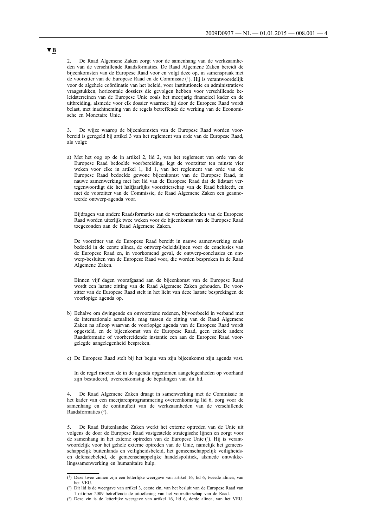2. De Raad Algemene Zaken zorgt voor de samenhang van de werkzaamheden van de verschillende Raadsformaties. De Raad Algemene Zaken bereidt de bijeenkomsten van de Europese Raad voor en volgt deze op, in samenspraak met de voorzitter van de Europese Raad en de Commissie (1). Hij is verantwoordelijk voor de algehele coördinatie van het beleid, voor institutionele en administratieve vraagstukken, horizontale dossiers die gevolgen hebben voor verschillende beleidsterreinen van de Europese Unie zoals het meerjarig financieel kader en de uitbreiding, alsmede voor elk dossier waarmee hij door de Europese Raad wordt belast, met inachtneming van de regels betreffende de werking van de Economische en Monetaire Unie.

3. De wijze waarop de bijeenkomsten van de Europese Raad worden voorbereid is geregeld bij artikel 3 van het reglement van orde van de Europese Raad, als volgt:

a) Met het oog op de in artikel 2, lid 2, van het reglement van orde van de Europese Raad bedoelde voorbereiding, legt de voorzitter ten minste vier weken voor elke in artikel 1, lid 1, van het reglement van orde van de Europese Raad bedoelde gewone bijeenkomst van de Europese Raad, in nauwe samenwerking met het lid van de Europese Raad dat de lidstaat vertegenwoordigt die het halfjaarlijks voorzitterschap van de Raad bekleedt, en met de voorzitter van de Commissie, de Raad Algemene Zaken een geannoteerde ontwerp-agenda voor.

Bijdragen van andere Raadsformaties aan de werkzaamheden van de Europese Raad worden uiterlijk twee weken voor de bijeenkomst van de Europese Raad toegezonden aan de Raad Algemene Zaken.

De voorzitter van de Europese Raad bereidt in nauwe samenwerking zoals bedoeld in de eerste alinea, de ontwerp-beleidslijnen voor de conclusies van de Europese Raad en, in voorkomend geval, de ontwerp-conclusies en ontwerp-besluiten van de Europese Raad voor, die worden besproken in de Raad Algemene Zaken.

Binnen vijf dagen voorafgaand aan de bijeenkomst van de Europese Raad wordt een laatste zitting van de Raad Algemene Zaken gehouden. De voorzitter van de Europese Raad stelt in het licht van deze laatste besprekingen de voorlopige agenda op.

b) Behalve om dwingende en onvoorziene redenen, bijvoorbeeld in verband met de internationale actualiteit, mag tussen de zitting van de Raad Algemene Zaken na afloop waarvan de voorlopige agenda van de Europese Raad wordt opgesteld, en de bijeenkomst van de Europese Raad, geen enkele andere Raadsformatie of voorbereidende instantie een aan de Europese Raad voorgelegde aangelegenheid bespreken.

c) De Europese Raad stelt bij het begin van zijn bijeenkomst zijn agenda vast.

In de regel moeten de in de agenda opgenomen aangelegenheden op voorhand zijn bestudeerd, overeenkomstig de bepalingen van dit lid.

4. De Raad Algemene Zaken draagt in samenwerking met de Commissie in het kader van een meerjarenprogrammering overeenkomstig lid 6, zorg voor de samenhang en de continuïteit van de werkzaamheden van de verschillende Raadsformaties (2).

5. De Raad Buitenlandse Zaken werkt het externe optreden van de Unie uit volgens de door de Europese Raad vastgestelde strategische lijnen en zorgt voor de samenhang in het externe optreden van de Europese Unie (3). Hij is verantwoordelijk voor het gehele externe optreden van de Unie, namelijk het gemeenschappelijk buitenlands en veiligheidsbeleid, het gemeenschappelijk veiligheidsen defensiebeleid, de gemeenschappelijke handelspolitiek, alsmede ontwikkelingssamenwerking en humanitaire hulp.

<sup>(1)</sup> Deze twee zinnen zijn een letterlijke weergave van artikel 16, lid 6, tweede alinea, van het VEU.

<sup>(2)</sup> Dit lid is de weergave van artikel 3, eerste zin, van het besluit van de Europese Raad van 1 oktober 2009 betreffende de uitoefening van het voorzitterschap van de Raad.

<sup>(3)</sup> Deze zin is de letterlijke weergave van artikel 16, lid 6, derde alinea, van het VEU.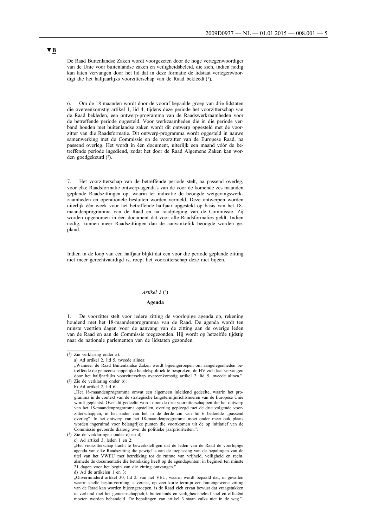De Raad Buitenlandse Zaken wordt voorgezeten door de hoge vertegenwoordiger van de Unie voor buitenlandse zaken en veiligheidsbeleid, die zich, indien nodig kan laten vervangen door het lid dat in deze formatie de lidstaat vertegenwoordigt die het halfjaarlijks voorzitterschap van de Raad bekleedt (1).

6. Om de 18 maanden wordt door de vooraf bepaalde groep van drie lidstaten die overeenkomstig artikel 1, lid 4, tijdens deze periode het voorzitterschap van de Raad bekleden, een ontwerp-programma van de Raadswerkzaamheden voor de betreffende periode opgesteld. Voor werkzaamheden die in die periode verband houden met buitenlandse zaken wordt dit ontwerp opgesteld met de voorzitter van die Raadsformatie. Dit ontwerp-programma wordt opgesteld in nauwe samenwerking met de Commissie en de voorzitter van de Europese Raad, na passend overleg. Het wordt in één document, uiterlijk een maand vóór de betreffende periode ingediend, zodat het door de Raad Algemene Zaken kan worden goedgekeurd (2).

7. Het voorzitterschap van de betreffende periode stelt, na passend overleg, voor elke Raadsformatie ontwerp-agenda's van de voor de komende zes maanden geplande Raadszittingen op, waarin ter indicatie de beoogde wetgevingswerkzaamheden en operationele besluiten worden vermeld. Deze ontwerpen worden uiterlijk één week voor het betreffende halfjaar opgesteld op basis van het 18 maandenprogramma van de Raad en na raadpleging van de Commissie. Zij worden opgenomen in één document dat voor alle Raadsformaties geldt. Indien nodig, kunnen meer Raadszittingen dan de aanvankelijk beoogde worden gepland.

Indien in de loop van een halfjaar blijkt dat een voor die periode geplande zitting niet meer gerechtvaardigd is, roept het voorzitterschap deze niet bijeen.

#### *Artikel 3* (3)

#### **Agenda**

1. De voorzitter stelt voor iedere zitting de voorlopige agenda op, rekening houdend met het 18-maandenprogramma van de Raad. De agenda wordt ten minste veertien dagen voor de aanvang van de zitting aan de overige leden van de Raad en aan de Commissie toegezonden. Hij wordt op hetzelfde tijdstip naar de nationale parlementen van de lidstaten gezonden.

"Wanneer de Raad Buitenlandse Zaken wordt bijeengeroepen om aangelegenheden betreffende de gemeenschappelijke handelspolitiek te bespreken, de HV zich laat vervangen door het halfjaarlijks voorzitterschap overeenkomstig artikel 2, lid 5, tweede alinea.". (2) Zie de verklaring onder b):

"Het 18-maandenprogramma omvat een algemeen inleidend gedeelte, waarin het programma in de context van de strategische langetermijnrichtsnoeren van de Europese Unie wordt geplaatst. Over dit gedeelte wordt door de drie voorzitterschappen die het ontwerp van het 18-maandenprogramma opstellen, overleg gepleegd met de drie volgende voorzitterschappen, in het kader van het in de derde zin van lid 6 bedoelde nassend overleg". In het ontwerp van het 18-maandenprogramma moet onder meer ook plaats worden ingeruimd voor belangrijke punten die voortkomen uit de op initiatief van de Commissie gevoerde dialoog over de politieke jaarprioriteiten.".

c) Ad artikel 3, leden 1 en 2:

"Het voorzitterschap tracht te bewerkstelligen dat de leden van de Raad de voorlopige agenda van elke Raadszitting die gewijd is aan de toepassing van de bepalingen van de titel van het VWEU met betrekking tot de ruimte van vrijheid, veiligheid en recht, alsmede de documentatie die betrekking heeft op de agendapunten, in beginsel ten minste 21 dagen voor het begin van die zitting ontvangen.

d) Ad de artikelen 1 en 3:

"Onverminderd artikel 30, lid 2, van het VEU, waarin wordt bepaald dat, in gevallen waarin snelle besluitvorming is vereist, op zeer korte termijn een buitengewone zitting van de Raad kan worden bijeengeroepen, is de Raad zich ervan bewust dat vraagstukken in verband met het gemeenschappelijk buitenlands en veiligheidsbeleid snel en efficiënt moeten worden behandeld. De bepalingen van artikel 3 staan zulks niet in de weg.".

<sup>(1)</sup> Zie verklaring onder a):

a) Ad artikel 2, lid 5, tweede alinea:

b) Ad artikel 2, lid 6:

<sup>(3)</sup> Zie de verklaringen onder c) en d):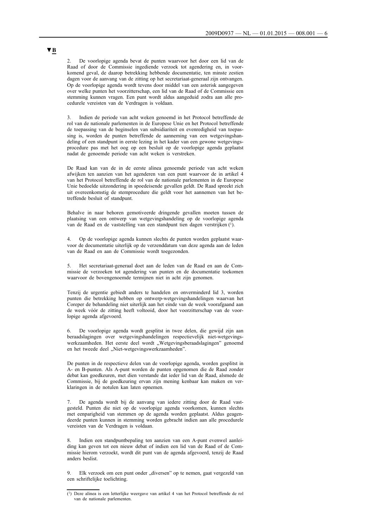2. De voorlopige agenda bevat de punten waarvoor het door een lid van de Raad of door de Commissie ingediende verzoek tot agendering en, in voorkomend geval, de daarop betrekking hebbende documentatie, ten minste zestien dagen voor de aanvang van de zitting op het secretariaat-generaal zijn ontvangen. Op de voorlopige agenda wordt tevens door middel van een asterisk aangegeven over welke punten het voorzitterschap, een lid van de Raad of de Commissie een stemming kunnen vragen. Een punt wordt aldus aangeduid zodra aan alle procedurele vereisten van de Verdragen is voldaan.

3. Indien de periode van acht weken genoemd in het Protocol betreffende de rol van de nationale parlementen in de Europese Unie en het Protocol betreffende de toepassing van de beginselen van subsidiariteit en evenredigheid van toepassing is, worden de punten betreffende de aanneming van een wetgevingshandeling of een standpunt in eerste lezing in het kader van een gewone wetgevingsprocedure pas met het oog op een besluit op de voorlopige agenda geplaatst nadat de genoemde periode van acht weken is verstreken.

De Raad kan van de in de eerste alinea genoemde periode van acht weken afwijken ten aanzien van het agenderen van een punt waarvoor de in artikel 4 van het Protocol betreffende de rol van de nationale parlementen in de Europese Unie bedoelde uitzondering in spoedeisende gevallen geldt. De Raad spreekt zich uit overeenkomstig de stemprocedure die geldt voor het aannemen van het betreffende besluit of standpunt.

Behalve in naar behoren gemotiveerde dringende gevallen moeten tussen de plaatsing van een ontwerp van wetgevingshandeling op de voorlopige agenda van de Raad en de vaststelling van een standpunt tien dagen verstrijken (1).

4. Op de voorlopige agenda kunnen slechts de punten worden geplaatst waarvoor de documentatie uiterlijk op de verzenddatum van deze agenda aan de leden van de Raad en aan de Commissie wordt toegezonden.

5. Het secretariaat-generaal doet aan de leden van de Raad en aan de Commissie de verzoeken tot agendering van punten en de documentatie toekomen waarvoor de bovengenoemde termijnen niet in acht zijn genomen.

Tenzij de urgentie gebiedt anders te handelen en onverminderd lid 3, worden punten die betrekking hebben op ontwerp-wetgevingshandelingen waarvan het Coreper de behandeling niet uiterlijk aan het einde van de week voorafgaand aan de week vóór de zitting heeft voltooid, door het voorzitterschap van de voorlopige agenda afgevoerd.

6. De voorlopige agenda wordt gesplitst in twee delen, die gewijd zijn aan beraadslagingen over wetgevingshandelingen respectievelijk niet-wetgevingswerkzaamheden. Het eerste deel wordt "Wetgevingsberaadslagingen" genoemd en het tweede deel "Niet-wetgevingswerkzaamheden".

De punten in de respectieve delen van de voorlopige agenda, worden gesplitst in A- en B-punten. Als A-punt worden de punten opgenomen die de Raad zonder debat kan goedkeuren, met dien verstande dat ieder lid van de Raad, alsmede de Commissie, bij de goedkeuring ervan zijn mening kenbaar kan maken en verklaringen in de notulen kan laten opnemen.

7. De agenda wordt bij de aanvang van iedere zitting door de Raad vastgesteld. Punten die niet op de voorlopige agenda voorkomen, kunnen slechts met eenparigheid van stemmen op de agenda worden geplaatst. Aldus geagendeerde punten kunnen in stemming worden gebracht indien aan alle procedurele vereisten van de Verdragen is voldaan.

8. Indien een standpuntbepaling ten aanzien van een A-punt evenwel aanleiding kan geven tot een nieuw debat of indien een lid van de Raad of de Commissie hierom verzoekt, wordt dit punt van de agenda afgevoerd, tenzij de Raad anders beslist.

9. Elk verzoek om een punt onder "diversen" op te nemen, gaat vergezeld van een schriftelijke toelichting.

<sup>(1)</sup> Deze alinea is een letterlijke weergave van artikel 4 van het Protocol betreffende de rol van de nationale parlementen.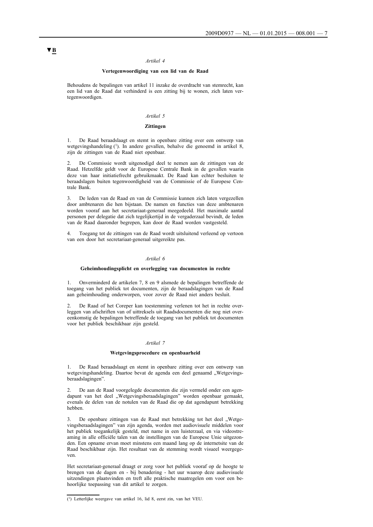#### *Artikel 4*

#### **Vertegenwoordiging van een lid van de Raad**

Behoudens de bepalingen van artikel 11 inzake de overdracht van stemrecht, kan een lid van de Raad dat verhinderd is een zitting bij te wonen, zich laten vertegenwoordigen.

#### *Artikel 5*

#### **Zittingen**

1. De Raad beraadslaagt en stemt in openbare zitting over een ontwerp van wetgevingshandeling (1). In andere gevallen, behalve die genoemd in artikel 8, zijn de zittingen van de Raad niet openbaar.

2. De Commissie wordt uitgenodigd deel te nemen aan de zittingen van de Raad. Hetzelfde geldt voor de Europese Centrale Bank in de gevallen waarin deze van haar initiatiefrecht gebruikmaakt. De Raad kan echter besluiten te beraadslagen buiten tegenwoordigheid van de Commissie of de Europese Centrale Bank.

3. De leden van de Raad en van de Commissie kunnen zich laten vergezellen door ambtenaren die hen bijstaan. De namen en functies van deze ambtenaren worden vooraf aan het secretariaat-generaal meegedeeld. Het maximale aantal personen per delegatie dat zich tegelijkertijd in de vergaderzaal bevindt, de leden van de Raad daaronder begrepen, kan door de Raad worden vastgesteld.

4. Toegang tot de zittingen van de Raad wordt uitsluitend verleend op vertoon van een door het secretariaat-generaal uitgereikte pas.

#### *Artikel 6*

#### **Geheimhoudingsplicht en overlegging van documenten in rechte**

1. Onverminderd de artikelen 7, 8 en 9 alsmede de bepalingen betreffende de toegang van het publiek tot documenten, zijn de beraadslagingen van de Raad aan geheimhouding onderworpen, voor zover de Raad niet anders besluit.

2. De Raad of het Coreper kan toestemming verlenen tot het in rechte overleggen van afschriften van of uittreksels uit Raadsdocumenten die nog niet overeenkomstig de bepalingen betreffende de toegang van het publiek tot documenten voor het publiek beschikbaar zijn gesteld.

#### *Artikel 7*

#### **Wetgevingsprocedure en openbaarheid**

1. De Raad beraadslaagt en stemt in openbare zitting over een ontwerp van wetgevingshandeling. Daartoe bevat de agenda een deel genaamd "Wetgevingsberaadslagingen".

2. De aan de Raad voorgelegde documenten die zijn vermeld onder een agendapunt van het deel "Wetgevingsberaadslagingen" worden openbaar gemaakt, evenals de delen van de notulen van de Raad die op dat agendapunt betrekking hebben.

3. De openbare zittingen van de Raad met betrekking tot het deel "Wetgevingsberaadslagingen" van zijn agenda, worden met audiovisuele middelen voor het publiek toegankelijk gesteld, met name in een luisterzaal, en via videostreaming in alle officiële talen van de instellingen van de Europese Unie uitgezonden. Een opname ervan moet minstens een maand lang op de internetsite van de Raad beschikbaar zijn. Het resultaat van de stemming wordt visueel weergegeven.

Het secretariaat-generaal draagt er zorg voor het publiek vooraf op de hoogte te brengen van de dagen en - bij benadering - het uur waarop deze audiovisuele uitzendingen plaatsvinden en treft alle praktische maatregelen om voor een behoorlijke toepassing van dit artikel te zorgen.

<sup>(1)</sup> Letterlijke weergave van artikel 16, lid 8, eerst zin, van het VEU.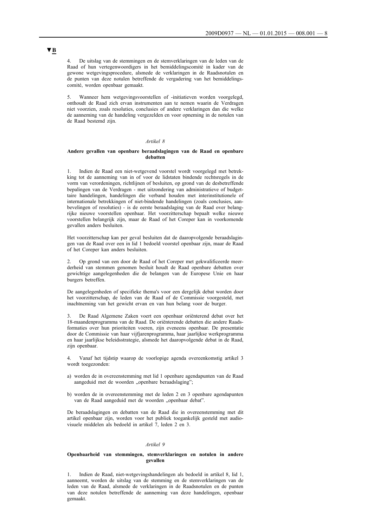4. De uitslag van de stemmingen en de stemverklaringen van de leden van de Raad of hun vertegenwoordigers in het bemiddelingscomité in kader van de gewone wetgevingsprocedure, alsmede de verklaringen in de Raadsnotulen en de punten van deze notulen betreffende de vergadering van het bemiddelingscomité, worden openbaar gemaakt.

5. Wanneer hem wetgevingsvoorstellen of -initiatieven worden voorgelegd, onthoudt de Raad zich ervan instrumenten aan te nemen waarin de Verdragen niet voorzien, zoals resoluties, conclusies of andere verklaringen dan die welke de aanneming van de handeling vergezelden en voor opneming in de notulen van de Raad bestemd zijn.

#### *Artikel 8*

#### **Andere gevallen van openbare beraadslagingen van de Raad en openbare debatten**

1. Indien de Raad een niet-wetgevend voorstel wordt voorgelegd met betrekking tot de aanneming van in of voor de lidstaten bindende rechtsregels in de vorm van verordeningen, richtlijnen of besluiten, op grond van de desbetreffende bepalingen van de Verdragen - met uitzondering van administratieve of budgettaire handelingen, handelingen die verband houden met interinstitutionele of internationale betrekkingen of niet-bindende handelingen (zoals conclusies, aanbevelingen of resoluties) - is de eerste beraadslaging van de Raad over belangrijke nieuwe voorstellen openbaar. Het voorzitterschap bepaalt welke nieuwe voorstellen belangrijk zijn, maar de Raad of het Coreper kan in voorkomende gevallen anders besluiten.

Het voorzitterschap kan per geval besluiten dat de daaropvolgende beraadslagingen van de Raad over een in lid 1 bedoeld voorstel openbaar zijn, maar de Raad of het Coreper kan anders besluiten.

2. Op grond van een door de Raad of het Coreper met gekwalificeerde meerderheid van stemmen genomen besluit houdt de Raad openbare debatten over gewichtige aangelegenheden die de belangen van de Europese Unie en haar burgers betreffen.

De aangelegenheden of specifieke thema's voor een dergelijk debat worden door het voorzitterschap, de leden van de Raad of de Commissie voorgesteld, met inachtneming van het gewicht ervan en van hun belang voor de burger.

3. De Raad Algemene Zaken voert een openbaar oriënterend debat over het 18-maandenprogramma van de Raad. De oriënterende debatten die andere Raadsformaties over hun prioriteiten voeren, zijn eveneens openbaar. De presentatie door de Commissie van haar vijfjarenprogramma, haar jaarlijkse werkprogramma en haar jaarlijkse beleidsstrategie, alsmede het daaropvolgende debat in de Raad, zijn openbaar.

4. Vanaf het tijdstip waarop de voorlopige agenda overeenkomstig artikel 3 wordt toegezonden:

- a) worden de in overeenstemming met lid 1 openbare agendapunten van de Raad aangeduid met de woorden "openbare beraadslaging";
- b) worden de in overeenstemming met de leden 2 en 3 openbare agendapunten van de Raad aangeduid met de woorden "openbaar debat".

De beraadslagingen en debatten van de Raad die in overeenstemming met dit artikel openbaar zijn, worden voor het publiek toegankelijk gesteld met audiovisuele middelen als bedoeld in artikel 7, leden 2 en 3.

#### *Artikel 9*

#### **Openbaarheid van stemmingen, stemverklaringen en notulen in andere gevallen**

1. Indien de Raad, niet-wetgevingshandelingen als bedoeld in artikel 8, lid 1, aanneemt, worden de uitslag van de stemming en de stemverklaringen van de leden van de Raad, alsmede de verklaringen in de Raadsnotulen en de punten van deze notulen betreffende de aanneming van deze handelingen, openbaar gemaakt.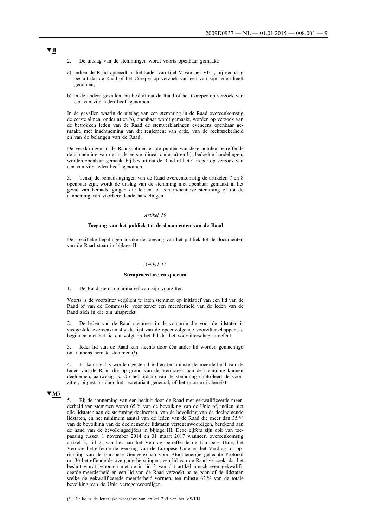- 2. De uitslag van de stemmingen wordt voorts openbaar gemaakt:
- a) indien de Raad optreedt in het kader van titel V van het VEU, bij eenparig besluit dat de Raad of het Coreper op verzoek van een van zijn leden heeft genomen;
- b) in de andere gevallen, bij besluit dat de Raad of het Coreper op verzoek van een van zijn leden heeft genomen.

In de gevallen waarin de uitslag van een stemming in de Raad overeenkomstig de eerste alinea, onder a) en b), openbaar wordt gemaakt, worden op verzoek van de betrokken leden van de Raad de stemverklaringen eveneens openbaar gemaakt, met inachtneming van dit reglement van orde, van de rechtszekerheid en van de belangen van de Raad.

De verklaringen in de Raadsnotulen en de punten van deze notulen betreffende de aanneming van de in de eerste alinea, onder a) en b), bedoelde handelingen, worden openbaar gemaakt bij besluit dat de Raad of het Coreper op verzoek van een van zijn leden heeft genomen.

3. Tenzij de beraadslagingen van de Raad overeenkomstig de artikelen 7 en 8 openbaar zijn, wordt de uitslag van de stemming niet openbaar gemaakt in het geval van beraadslagingen die leiden tot een indicatieve stemming of tot de aanneming van voorbereidende handelingen.

#### *Artikel 10*

## **Toegang van het publiek tot de documenten van de Raad**

De specifieke bepalingen inzake de toegang van het publiek tot de documenten van de Raad staan in bijlage II.

#### *Artikel 11*

#### **Stemprocedure en quorum**

#### 1. De Raad stemt op initiatief van zijn voorzitter.

Voorts is de voorzitter verplicht te laten stemmen op initiatief van een lid van de Raad of van de Commissie, voor zover een meerderheid van de leden van de Raad zich in die zin uitspreekt.

2. De leden van de Raad stemmen in de volgorde die voor de lidstaten is vastgesteld overeenkomstig de lijst van de opeenvolgende voorzitterschappen, te beginnen met het lid dat volgt op het lid dat het voorzitterschap uitoefent.

3. Ieder lid van de Raad kan slechts door één ander lid worden gemachtigd om namens hem te stemmen (1).

4. Er kan slechts worden gestemd indien ten minste de meerderheid van de leden van de Raad die op grond van de Verdragen aan de stemming kunnen deelnemen, aanwezig is. Op het tijdstip van de stemming controleert de voorzitter, bijgestaan door het secretariaat-generaal, of het quorum is bereikt.

#### **▼M7**

5. Bij de aanneming van een besluit door de Raad met gekwalificeerde meerderheid van stemmen wordt 65 % van de bevolking van de Unie of, indien niet alle lidstaten aan de stemming deelnemen, van de bevolking van de deelnemende lidstaten, en het minimum aantal van de leden van de Raad die meer dan 35 % van de bevolking van de deelnemende lidstaten vertegenwoordigen, berekend aan de hand van de bevolkingscijfers in bijlage III. Deze cijfers zijn ook van toepassing tussen 1 november 2014 en 31 maart 2017 wanneer, overeenkomstig artikel 3, lid 2, van het aan het Verdrag betreffende de Europese Unie, het Verdrag betreffende de werking van de Europese Unie en het Verdrag tot oprichting van de Europese Gemeenschap voor Atoomenergie gehechte Protocol nr. 36 betreffende de overgangsbepalingen, een lid van de Raad verzoekt dat het besluit wordt genomen met de in lid 3 van dat artikel omschreven gekwalificeerde meerderheid en een lid van de Raad verzoekt na te gaan of de lidstaten welke de gekwalificeerde meerderheid vormen, ten minste 62 % van de totale bevolking van de Unie vertegenwoordigen.

<sup>(1)</sup> Dit lid is de letterlijke weergave van artikel 239 van het VWEU.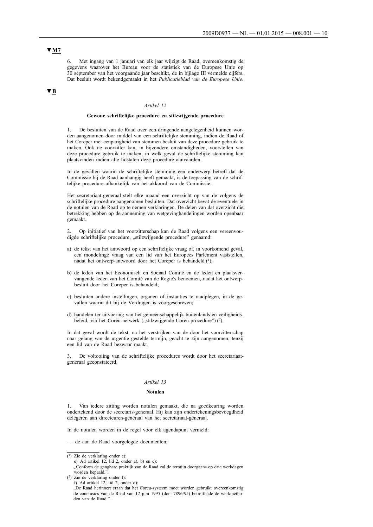## **▼M7**

6. Met ingang van 1 januari van elk jaar wijzigt de Raad, overeenkomstig de gegevens waarover het Bureau voor de statistiek van de Europese Unie op 30 september van het voorgaande jaar beschikt, de in bijlage III vermelde cijfers. Dat besluit wordt bekendgemaakt in het *Publicatieblad van de Europese Unie*.

## **▼B**

#### *Artikel 12*

#### **Gewone schriftelijke procedure en stilzwijgende procedure**

1. De besluiten van de Raad over een dringende aangelegenheid kunnen worden aangenomen door middel van een schriftelijke stemming, indien de Raad of het Coreper met eenparigheid van stemmen besluit van deze procedure gebruik te maken. Ook de voorzitter kan, in bijzondere omstandigheden, voorstellen van deze procedure gebruik te maken, in welk geval de schriftelijke stemming kan plaatsvinden indien alle lidstaten deze procedure aanvaarden.

In de gevallen waarin de schriftelijke stemming een onderwerp betreft dat de Commissie bij de Raad aanhangig heeft gemaakt, is de toepassing van de schriftelijke procedure afhankelijk van het akkoord van de Commissie.

Het secretariaat-generaal stelt elke maand een overzicht op van de volgens de schriftelijke procedure aangenomen besluiten. Dat overzicht bevat de eventuele in de notulen van de Raad op te nemen verklaringen. De delen van dat overzicht die betrekking hebben op de aanneming van wetgevinghandelingen worden openbaar gemaakt.

2. Op initiatief van het voorzitterschap kan de Raad volgens een vereenvoudigde schriftelijke procedure, "stilzwijgende procedure" genaamd:

- a) de tekst van het antwoord op een schriftelijke vraag of, in voorkomend geval, een mondelinge vraag van een lid van het Europees Parlement vaststellen, nadat het ontwerp-antwoord door het Coreper is behandeld (1);
- b) de leden van het Economisch en Sociaal Comité en de leden en plaatsvervangende leden van het Comité van de Regio's benoemen, nadat het ontwerpbesluit door het Coreper is behandeld;
- c) besluiten andere instellingen, organen of instanties te raadplegen, in de gevallen waarin dit bij de Verdragen is voorgeschreven;
- d) handelen ter uitvoering van het gemeenschappelijk buitenlands en veiligheidsbeleid, via het Coreu-netwerk ("stilzwijgende Coreu-procedure") (<sup>2</sup>).

In dat geval wordt de tekst, na het verstrijken van de door het voorzitterschap naar gelang van de urgentie gestelde termijn, geacht te zijn aangenomen, tenzij een lid van de Raad bezwaar maakt.

3. De voltooiing van de schriftelijke procedures wordt door het secretariaatgeneraal geconstateerd.

#### *Artikel 13*

#### **Notulen**

1. Van iedere zitting worden notulen gemaakt, die na goedkeuring worden ondertekend door de secretaris-generaal. Hij kan zijn ondertekeningsbevoegdheid delegeren aan directeuren-generaal van het secretariaat-generaal.

In de notulen worden in de regel voor elk agendapunt vermeld:

— de aan de Raad voorgelegde documenten;

den van de Raad."

"Conform de gangbare praktijk van de Raad zal de termijn doorgaans op drie werkdagen worden bepaald."

(2) Zie de verklaring onder f): f) Ad artikel 12, lid 2, onder d): "De Raad herinnert eraan dat het Coreu-systeem moet worden gebruikt overeenkomstig de conclusies van de Raad van 12 juni 1995 (doc. 7896/95) betreffende de werkmetho-

<sup>(1)</sup> Zie de verklaring onder e):

e) Ad artikel 12, lid 2, onder a), b) en c):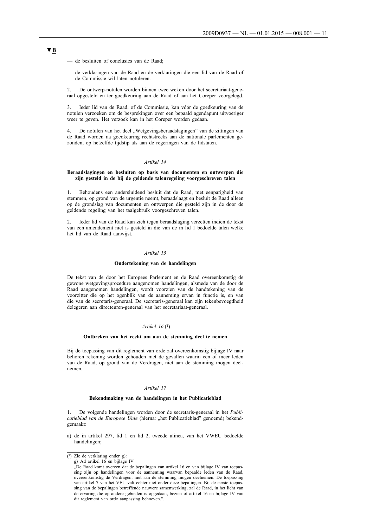— de besluiten of conclusies van de Raad;

— de verklaringen van de Raad en de verklaringen die een lid van de Raad of de Commissie wil laten notuleren.

2. De ontwerp-notulen worden binnen twee weken door het secretariaat-generaal opgesteld en ter goedkeuring aan de Raad of aan het Coreper voorgelegd.

3. Ieder lid van de Raad, of de Commissie, kan vóór de goedkeuring van de notulen verzoeken om de besprekingen over een bepaald agendapunt uitvoeriger weer te geven. Het verzoek kan in het Coreper worden gedaan.

4. De notulen van het deel "Wetgevingsberaadslagingen" van de zittingen van de Raad worden na goedkeuring rechtstreeks aan de nationale parlementen gezonden, op hetzelfde tijdstip als aan de regeringen van de lidstaten.

#### *Artikel 14*

#### **Beraadslagingen en besluiten op basis van documenten en ontwerpen die zijn gesteld in de bij de geldende talenregeling voorgeschreven talen**

1. Behoudens een andersluidend besluit dat de Raad, met eenparigheid van stemmen, op grond van de urgentie neemt, beraadslaagt en besluit de Raad alleen op de grondslag van documenten en ontwerpen die gesteld zijn in de door de geldende regeling van het taalgebruik voorgeschreven talen.

2. Ieder lid van de Raad kan zich tegen beraadslaging verzetten indien de tekst van een amendement niet is gesteld in die van de in lid 1 bedoelde talen welke het lid van de Raad aanwijst.

#### *Artikel 15*

#### **Ondertekening van de handelingen**

De tekst van de door het Europees Parlement en de Raad overeenkomstig de gewone wetgevingsprocedure aangenomen handelingen, alsmede van de door de Raad aangenomen handelingen, wordt voorzien van de handtekening van de voorzitter die op het ogenblik van de aanneming ervan in functie is, en van die van de secretaris-generaal. De secretaris-generaal kan zijn tekenbevoegdheid delegeren aan directeuren-generaal van het secretariaat-generaal.

#### *Artikel 16* (1)

#### **Ontbreken van het recht om aan de stemming deel te nemen**

Bij de toepassing van dit reglement van orde zal overeenkomstig bijlage IV naar behoren rekening worden gehouden met de gevallen waarin een of meer leden van de Raad, op grond van de Verdragen, niet aan de stemming mogen deelnemen.

#### *Artikel 17*

#### **Bekendmaking van de handelingen in het Publicatieblad**

1. De volgende handelingen worden door de secretaris-generaal in het *Publi*catieblad van de Europese Unie (hierna: "het Publicatieblad" genoemd) bekendgemaakt:

a) de in artikel 297, lid 1 en lid 2, tweede alinea, van het VWEU bedoelde handelingen;

<sup>(1)</sup> Zie de verklaring onder g):

g) Ad artikel 16 en bijlage IV

<sup>&</sup>quot;De Raad komt overeen dat de bepalingen van artikel 16 en van bijlage IV van toepassing zijn op handelingen voor de aanneming waarvan bepaalde leden van de Raad, overeenkomstig de Verdragen, niet aan de stemming mogen deelnemen. De toepassing van artikel 7 van het VEU valt echter niet onder deze bepalingen. Bij de eerste toepassing van de bepalingen betreffende nauwere samenwerking, zal de Raad, in het licht van de ervaring die op andere gebieden is opgedaan, bezien of artikel 16 en bijlage IV van dit reglement van orde aanpassing behoeven.".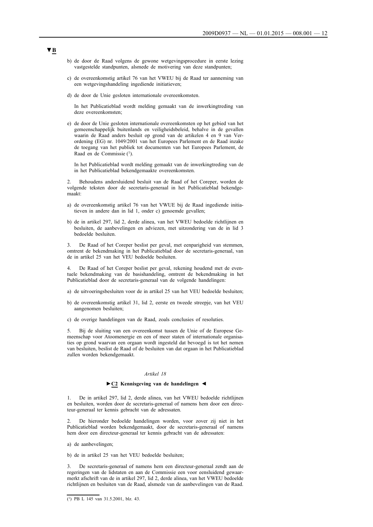- b) de door de Raad volgens de gewone wetgevingsprocedure in eerste lezing vastgestelde standpunten, alsmede de motivering van deze standpunten;
- c) de overeenkomstig artikel 76 van het VWEU bij de Raad ter aanneming van een wetgevingshandeling ingediende initiatieven;
- d) de door de Unie gesloten internationale overeenkomsten.

In het Publicatieblad wordt melding gemaakt van de inwerkingtreding van deze overeenkomsten;

e) de door de Unie gesloten internationale overeenkomsten op het gebied van het gemeenschappelijk buitenlands en veiligheidsbeleid, behalve in de gevallen waarin de Raad anders besluit op grond van de artikelen 4 en 9 van Verordening (EG) nr. 1049/2001 van het Europees Parlement en de Raad inzake de toegang van het publiek tot documenten van het Europees Parlement, de Raad en de Commissie (1).

In het Publicatieblad wordt melding gemaakt van de inwerkingtreding van de in het Publicatieblad bekendgemaakte overeenkomsten.

2. Behoudens andersluidend besluit van de Raad of het Coreper, worden de volgende teksten door de secretaris-generaal in het Publicatieblad bekendgemaakt:

- a) de overeenkomstig artikel 76 van het VWUE bij de Raad ingediende initiatieven in andere dan in lid 1, onder c) genoemde gevallen;
- b) de in artikel 297, lid 2, derde alinea, van het VWEU bedoelde richtlijnen en besluiten, de aanbevelingen en adviezen, met uitzondering van de in lid 3 bedoelde besluiten.

3. De Raad of het Coreper beslist per geval, met eenparigheid van stemmen, omtrent de bekendmaking in het Publicatieblad door de secretaris-generaal, van de in artikel 25 van het VEU bedoelde besluiten.

4. De Raad of het Coreper beslist per geval, rekening houdend met de eventuele bekendmaking van de basishandeling, omtrent de bekendmaking in het Publicatieblad door de secretaris-generaal van de volgende handelingen:

- a) de uitvoeringsbesluiten voor de in artikel 25 van het VEU bedoelde besluiten;
- b) de overeenkomstig artikel 31, lid 2, eerste en tweede streepje, van het VEU aangenomen besluiten;
- c) de overige handelingen van de Raad, zoals conclusies of resoluties.

5. Bij de sluiting van een overeenkomst tussen de Unie of de Europese Gemeenschap voor Atoomenergie en een of meer staten of internationale organisaties op grond waarvan een orgaan wordt ingesteld dat bevoegd is tot het nemen van besluiten, beslist de Raad of de besluiten van dat orgaan in het Publicatieblad zullen worden bekendgemaakt.

#### *Artikel 18*

#### **►C2 Kennisgeving van de handelingen ◄**

1. De in artikel 297, lid 2, derde alinea, van het VWEU bedoelde richtlijnen en besluiten, worden door de secretaris-generaal of namens hem door een directeur-generaal ter kennis gebracht van de adressaten.

2. De hieronder bedoelde handelingen worden, voor zover zij niet in het Publicatieblad worden bekendgemaakt, door de secretaris-generaal of namens hem door een directeur-generaal ter kennis gebracht van de adressaten:

a) de aanbevelingen;

b) de in artikel 25 van het VEU bedoelde besluiten;

3. De secretaris-generaal of namens hem een directeur-generaal zendt aan de regeringen van de lidstaten en aan de Commissie een voor eensluidend gewaarmerkt afschrift van de in artikel 297, lid 2, derde alinea, van het VWEU bedoelde richtlijnen en besluiten van de Raad, alsmede van de aanbevelingen van de Raad.

<sup>(1)</sup> PB L 145 van 31.5.2001, blz. 43.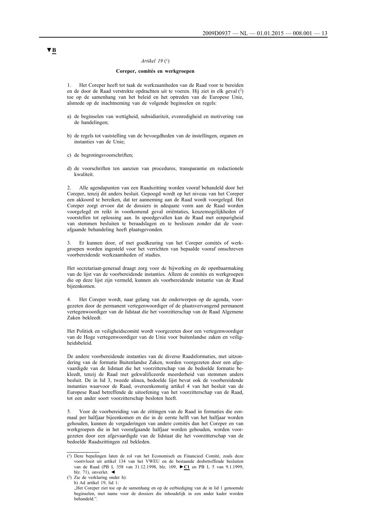## *Artikel 19* (1)

#### **Coreper, comités en werkgroepen**

1. Het Coreper heeft tot taak de werkzaamheden van de Raad voor te bereiden en de door de Raad verstrekte opdrachten uit te voeren. Hij ziet in elk geval (2) toe op de samenhang van het beleid en het optreden van de Europese Unie, alsmede op de inachtneming van de volgende beginselen en regels:

- a) de beginselen van wettigheid, subsidiariteit, evenredigheid en motivering van de handelingen;
- b) de regels tot vaststelling van de bevoegdheden van de instellingen, organen en instanties van de Unie;
- c) de begrotingsvoorschriften;
- d) de voorschriften ten aanzien van procedures, transparantie en redactionele kwaliteit.

2. Alle agendapunten van een Raadszitting worden vooraf behandeld door het Coreper, tenzij dit anders besluit. Gepoogd wordt op het niveau van het Coreper een akkoord te bereiken, dat ter aanneming aan de Raad wordt voorgelegd. Het Coreper zorgt ervoor dat de dossiers in adequate vorm aan de Raad worden voorgelegd en reikt in voorkomend geval oriëntaties, keuzemogelijkheden of voorstellen tot oplossing aan. In spoedgevallen kan de Raad met eenparigheid van stemmen besluiten te beraadslagen en te beslissen zonder dat de voorafgaande behandeling heeft plaatsgevonden.

3. Er kunnen door, of met goedkeuring van het Coreper comités of werkgroepen worden ingesteld voor het verrichten van bepaalde vooraf omschreven voorbereidende werkzaamheden of studies.

Het secretariaat-generaal draagt zorg voor de bijwerking en de openbaarmaking van de lijst van de voorbereidende instanties. Alleen de comités en werkgroepen die op deze lijst zijn vermeld, kunnen als voorbereidende instantie van de Raad bijeenkomen.

4. Het Coreper wordt, naar gelang van de onderwerpen op de agenda, voorgezeten door de permanent vertegenwoordiger of de plaatsvervangend permanent vertegenwoordiger van de lidstaat die het voorzitterschap van de Raad Algemene Zaken bekleedt.

Het Politiek en veiligheidscomité wordt voorgezeten door een vertegenwoordiger van de Hoge vertegenwoordiger van de Unie voor buitenlandse zaken en veiligheidsbeleid.

De andere voorbereidende instanties van de diverse Raadsformaties, met uitzondering van de formatie Buitenlandse Zaken, worden voorgezeten door een afgevaardigde van de lidstaat die het voorzitterschap van de bedoelde formatie bekleedt, tenzij de Raad met gekwalificeerde meerderheid van stemmen anders besluit. De in lid 3, tweede alinea, bedoelde lijst bevat ook de voorbereidende instanties waarvoor de Raad, overeenkomstig artikel 4 van het besluit van de Europese Raad betreffende de uitoefening van het voorzitterschap van de Raad, tot een ander soort voorzitterschap besloten heeft.

5. Voor de voorbereiding van de zittingen van de Raad in formaties die eenmaal per halfjaar bijeenkomen en die in de eerste helft van het halfjaar worden gehouden, kunnen de vergaderingen van andere comités dan het Coreper en van werkgroepen die in het voorafgaande halfjaar worden gehouden, worden voorgezeten door een afgevaardigde van de lidstaat die het voorzitterschap van de bedoelde Raadszittingen zal bekleden.

<sup>(1)</sup> Deze bepalingen laten de rol van het Economisch en Financieel Comité, zoals deze voortvloeit uit artikel 134 van het VWEU en de bestaande desbetreffende besluiten van de Raad (PB L 358 van 31.12.1998, blz. 109, **►C1** en PB L 5 van 9.1.1999, blz. 71), onverlet. ◄

<sup>(2)</sup> Zie de verklaring onder h): h) Ad artikel 19, lid 1:

<sup>&</sup>quot;Het Coreper ziet toe op de samenhang en op de eerbiediging van de in lid 1 genoemde beginselen, met name voor de dossiers die inhoudelijk in een ander kader worden behandeld.".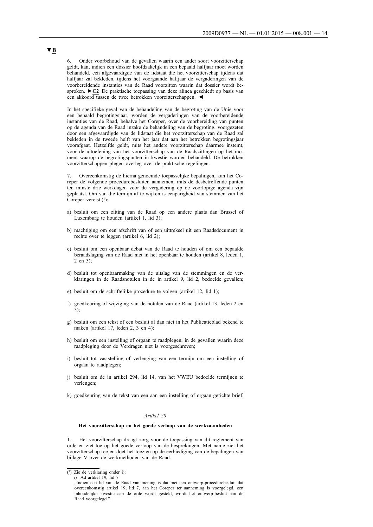6. Onder voorbehoud van de gevallen waarin een ander soort voorzitterschap geldt, kan, indien een dossier hoofdzakelijk in een bepaald halfjaar moet worden behandeld, een afgevaardigde van de lidstaat die het voorzitterschap tijdens dat halfjaar zal bekleden, tijdens het voorgaande halfjaar de vergaderingen van de voorbereidende instanties van de Raad voorzitten waarin dat dossier wordt besproken. **►C2** De praktische toepassing van deze alinea geschiedt op basis van een akkoord tussen de twee betrokken voorzitterschappen. ◄

In het specifieke geval van de behandeling van de begroting van de Unie voor een bepaald begrotingsjaar, worden de vergaderingen van de voorbereidende instanties van de Raad, behalve het Coreper, over de voorbereiding van punten op de agenda van de Raad inzake de behandeling van de begroting, voorgezeten door een afgevaardigde van de lidstaat die het voorzitterschap van de Raad zal bekleden in de tweede helft van het jaar dat aan het betrokken begrotingsjaar voorafgaat. Hetzelfde geldt, mits het andere voorzitterschap daarmee instemt, voor de uitoefening van het voorzitterschap van de Raadszittingen op het moment waarop de begrotingspunten in kwestie worden behandeld. De betrokken voorzitterschappen plegen overleg over de praktische regelingen.

7. Overeenkomstig de hierna genoemde toepasselijke bepalingen, kan het Coreper de volgende procedurebesluiten aannemen, mits de desbetreffende punten ten minste drie werkdagen vóór de vergadering op de voorlopige agenda zijn geplaatst. Om van die termijn af te wijken is eenparigheid van stemmen van het Coreper vereist  $(1)$ :

- a) besluit om een zitting van de Raad op een andere plaats dan Brussel of Luxemburg te houden (artikel 1, lid 3);
- b) machtiging om een afschrift van of een uittreksel uit een Raadsdocument in rechte over te leggen (artikel 6, lid 2);
- c) besluit om een openbaar debat van de Raad te houden of om een bepaalde beraadslaging van de Raad niet in het openbaar te houden (artikel 8, leden 1, 2 en  $3$ ).
- d) besluit tot openbaarmaking van de uitslag van de stemmingen en de verklaringen in de Raadsnotulen in de in artikel 9, lid 2, bedoelde gevallen;
- e) besluit om de schriftelijke procedure te volgen (artikel 12, lid 1);
- f) goedkeuring of wijziging van de notulen van de Raad (artikel 13, leden 2 en 3);
- g) besluit om een tekst of een besluit al dan niet in het Publicatieblad bekend te maken (artikel 17, leden 2, 3 en 4);
- h) besluit om een instelling of orgaan te raadplegen, in de gevallen waarin deze raadpleging door de Verdragen niet is voorgeschreven;
- i) besluit tot vaststelling of verlenging van een termijn om een instelling of orgaan te raadplegen;
- j) besluit om de in artikel 294, lid 14, van het VWEU bedoelde termijnen te verlengen;
- k) goedkeuring van de tekst van een aan een instelling of orgaan gerichte brief.

#### *Artikel 20*

#### **Het voorzitterschap en het goede verloop van de werkzaamheden**

1. Het voorzitterschap draagt zorg voor de toepassing van dit reglement van orde en ziet toe op het goede verloop van de besprekingen. Met name ziet het voorzitterschap toe en doet het toezien op de eerbiediging van de bepalingen van bijlage V over de werkmethoden van de Raad.

<sup>(1)</sup> Zie de verklaring onder i):

i) Ad artikel 19, lid 7

<sup>&</sup>quot;Indien een lid van de Raad van mening is dat met een ontwerp-procedurebesluit dat overeenkomstig artikel 19, lid 7, aan het Coreper ter aanneming is voorgelegd, een inhoudelijke kwestie aan de orde wordt gesteld, wordt het ontwerp-besluit aan de Raad voorgelegd.".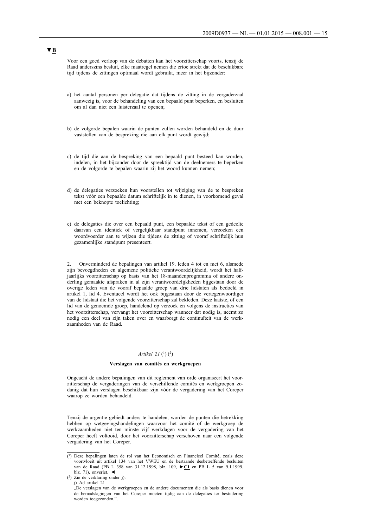Voor een goed verloop van de debatten kan het voorzitterschap voorts, tenzij de Raad anderszins besluit, elke maatregel nemen die ertoe strekt dat de beschikbare tijd tijdens de zittingen optimaal wordt gebruikt, meer in het bijzonder:

- a) het aantal personen per delegatie dat tijdens de zitting in de vergaderzaal aanwezig is, voor de behandeling van een bepaald punt beperken, en besluiten om al dan niet een luisterzaal te openen;
- b) de volgorde bepalen waarin de punten zullen worden behandeld en de duur vaststellen van de bespreking die aan elk punt wordt gewijd;
- c) de tijd die aan de bespreking van een bepaald punt besteed kan worden, indelen, in het bijzonder door de spreektijd van de deelnemers te beperken en de volgorde te bepalen waarin zij het woord kunnen nemen;
- d) de delegaties verzoeken hun voorstellen tot wijziging van de te bespreken tekst vóór een bepaalde datum schriftelijk in te dienen, in voorkomend geval met een beknopte toelichting;
- e) de delegaties die over een bepaald punt, een bepaalde tekst of een gedeelte daarvan een identiek of vergelijkbaar standpunt innemen, verzoeken een woordvoerder aan te wijzen die tijdens de zitting of vooraf schriftelijk hun gezamenlijke standpunt presenteert.

2. Onverminderd de bepalingen van artikel 19, leden 4 tot en met 6, alsmede zijn bevoegdheden en algemene politieke verantwoordelijkheid, wordt het halfjaarlijks voorzitterschap op basis van het 18-maandenprogramma of andere onderling gemaakte afspraken in al zijn verantwoordelijkheden bijgestaan door de overige leden van de vooraf bepaalde groep van drie lidstaten als bedoeld in artikel 1, lid 4. Eventueel wordt het ook bijgestaan door de vertegenwoordiger van de lidstaat die het volgende voorzitterschap zal bekleden. Deze laatste, of een lid van de genoemde groep, handelend op verzoek en volgens de instructies van het voorzitterschap, vervangt het voorzitterschap wanneer dat nodig is, neemt zo nodig een deel van zijn taken over en waarborgt de continuïteit van de werkzaamheden van de Raad.

#### *Artikel 21* (<sup>1</sup>) (<sup>2</sup>)

#### **Verslagen van comités en werkgroepen**

Ongeacht de andere bepalingen van dit reglement van orde organiseert het voorzitterschap de vergaderingen van de verschillende comités en werkgroepen zodanig dat hun verslagen beschikbaar zijn vóór de vergadering van het Coreper waarop ze worden behandeld.

Tenzij de urgentie gebiedt anders te handelen, worden de punten die betrekking hebben op wetgevingshandelingen waarvoor het comité of de werkgroep de werkzaamheden niet ten minste vijf werkdagen voor de vergadering van het Coreper heeft voltooid, door het voorzitterschap verschoven naar een volgende vergadering van het Coreper.

<sup>(1)</sup> Deze bepalingen laten de rol van het Economisch en Financieel Comité, zoals deze voortvloeit uit artikel 134 van het VWEU en de bestaande desbetreffende besluiten van de Raad (PB L 358 van 31.12.1998, blz. 109, **►C1** en PB L 5 van 9.1.1999, blz. 71), onverlet. ◄

<sup>(2)</sup> Zie de verklaring onder j):

j) Ad artikel 21

<sup>&</sup>quot;De verslagen van de werkgroepen en de andere documenten die als basis dienen voor de beraadslagingen van het Coreper moeten tijdig aan de delegaties ter bestudering worden toegezonden.".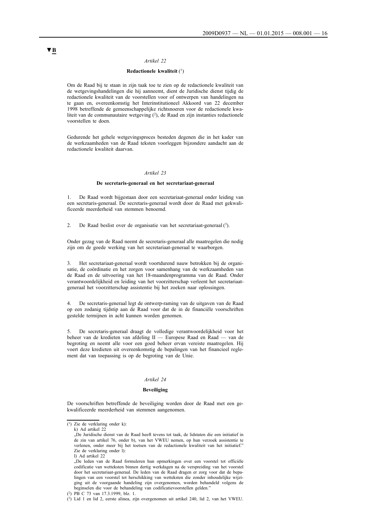#### *Artikel 22*

#### **Redactionele kwaliteit** (1)

Om de Raad bij te staan in zijn taak toe te zien op de redactionele kwaliteit van de wetgevingshandelingen die hij aanneemt, dient de Juridische dienst tijdig de redactionele kwaliteit van de voorstellen voor of ontwerpen van handelingen na te gaan en, overeenkomstig het Interinstitutioneel Akkoord van 22 december 1998 betreffende de gemeenschappelijke richtsnoeren voor de redactionele kwaliteit van de communautaire wetgeving  $(2)$ , de Raad en zijn instanties redactionele voorstellen te doen.

Gedurende het gehele wetgevingsproces besteden degenen die in het kader van de werkzaamheden van de Raad teksten voorleggen bijzondere aandacht aan de redactionele kwaliteit daarvan.

#### *Artikel 23*

#### **De secretaris-generaal en het secretariaat-generaal**

1. De Raad wordt bijgestaan door een secretariaat-generaal onder leiding van een secretaris-generaal. De secretaris-generaal wordt door de Raad met gekwalificeerde meerderheid van stemmen benoemd.

2. De Raad beslist over de organisatie van het secretariaat-generaal (3).

Onder gezag van de Raad neemt de secretaris-generaal alle maatregelen die nodig zijn om de goede werking van het secretariaat-generaal te waarborgen.

3. Het secretariaat-generaal wordt voortdurend nauw betrokken bij de organisatie, de coördinatie en het zorgen voor samenhang van de werkzaamheden van de Raad en de uitvoering van het 18-maandenprogramma van de Raad. Onder verantwoordelijkheid en leiding van het voorzitterschap verleent het secretariaatgeneraal het voorzitterschap assistentie bij het zoeken naar oplossingen.

4. De secretaris-generaal legt de ontwerp-raming van de uitgaven van de Raad op een zodanig tijdstip aan de Raad voor dat de in de financiële voorschriften gestelde termijnen in acht kunnen worden genomen.

5. De secretaris-generaal draagt de volledige verantwoordelijkheid voor het beheer van de kredieten van afdeling II — Europese Raad en Raad — van de begroting en neemt alle voor een goed beheer ervan vereiste maatregelen. Hij voert deze kredieten uit overeenkomstig de bepalingen van het financieel reglement dat van toepassing is op de begroting van de Unie.

#### *Artikel 24*

#### **Beveiliging**

De voorschriften betreffende de beveiliging worden door de Raad met een gekwalificeerde meerderheid van stemmen aangenomen.

 $(1)$  Zie de verklaring onder k):

k) Ad artikel 22

<sup>&</sup>quot;De Juridische dienst van de Raad heeft tevens tot taak, de lidstaten die een initiatief in de zin van artikel 76, onder b), van het VWEU nemen, op hun verzoek assistentie te verlenen, onder meer bij het toetsen van de redactionele kwaliteit van het initiatief." Zie de verklaring onder l): l) Ad artikel 22

<sup>&</sup>quot;De leden van de Raad formuleren hun opmerkingen over een voorstel tot officiële codificatie van wetteksten binnen dertig werkdagen na de verspreiding van het voorstel door het secretariaat-generaal. De leden van de Raad dragen er zorg voor dat de bepalingen van een voorstel tot herschikking van wetteksten die zonder inhoudelijke wijziging uit de voorgaande handeling zijn overgenomen, worden behandeld volgens de beginselen die voor de behandeling van codificatievoorstellen gelden.

<sup>(2)</sup> PB C 73 van 17.3.1999, blz. 1.

<sup>(3)</sup> Lid 1 en lid 2, eerste alinea, zijn overgenomen uit artikel 240, lid 2, van het VWEU.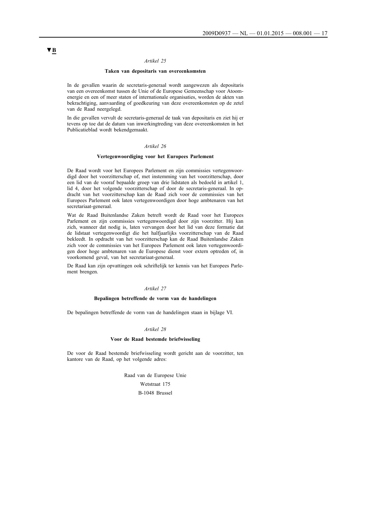#### *Artikel 25*

#### **Taken van depositaris van overeenkomsten**

In de gevallen waarin de secretaris-generaal wordt aangewezen als depositaris van een overeenkomst tussen de Unie of de Europese Gemeenschap voor Atoomenergie en een of meer staten of internationale organisaties, worden de akten van bekrachtiging, aanvaarding of goedkeuring van deze overeenkomsten op de zetel van de Raad neergelegd.

In die gevallen vervult de secretaris-generaal de taak van depositaris en ziet hij er tevens op toe dat de datum van inwerkingtreding van deze overeenkomsten in het Publicatieblad wordt bekendgemaakt.

#### *Artikel 26*

#### **Vertegenwoordiging voor het Europees Parlement**

De Raad wordt voor het Europees Parlement en zijn commissies vertegenwoordigd door het voorzitterschap of, met instemming van het voorzitterschap, door een lid van de vooraf bepaalde groep van drie lidstaten als bedoeld in artikel 1, lid 4, door het volgende voorzitterschap of door de secretaris-generaal. In opdracht van het voorzitterschap kan de Raad zich voor de commissies van het Europees Parlement ook laten vertegenwoordigen door hoge ambtenaren van het secretariaat-generaal.

Wat de Raad Buitenlandse Zaken betreft wordt de Raad voor het Europees Parlement en zijn commissies vertegenwoordigd door zijn voorzitter. Hij kan zich, wanneer dat nodig is, laten vervangen door het lid van deze formatie dat de lidstaat vertegenwoordigt die het halfjaarlijks voorzitterschap van de Raad bekleedt. In opdracht van het voorzitterschap kan de Raad Buitenlandse Zaken zich voor de commissies van het Europees Parlement ook laten vertegenwoordigen door hoge ambtenaren van de Europese dienst voor extern optreden of, in voorkomend geval, van het secretariaat-generaal.

De Raad kan zijn opvattingen ook schriftelijk ter kennis van het Europees Parlement brengen.

#### *Artikel 27*

#### **Bepalingen betreffende de vorm van de handelingen**

De bepalingen betreffende de vorm van de handelingen staan in bijlage VI.

#### *Artikel 28*

#### **Voor de Raad bestemde briefwisseling**

De voor de Raad bestemde briefwisseling wordt gericht aan de voorzitter, ten kantore van de Raad, op het volgende adres:

> Raad van de Europese Unie Wetstraat 175 B-1048 Brussel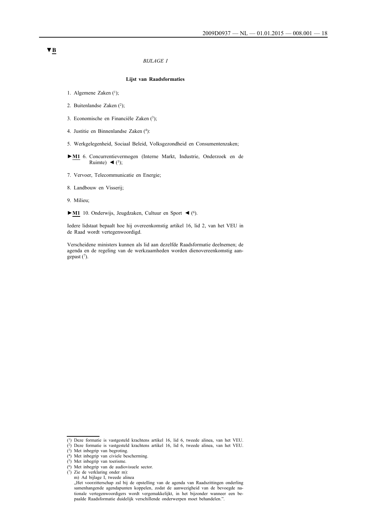#### *BIJLAGE I*

#### **Lijst van Raadsformaties**

- 1. Algemene Zaken (1);
- 2. Buitenlandse Zaken (2);
- 3. Economische en Financiële Zaken (3);
- 4. Justitie en Binnenlandse Zaken (4):
- 5. Werkgelegenheid, Sociaal Beleid, Volksgezondheid en Consumentenzaken;
- **►M1** 6. Concurrentievermogen (Interne Markt, Industrie, Onderzoek en de Ruimte)  $\blacktriangleleft$  (<sup>5</sup>);
- 7. Vervoer, Telecommunicatie en Energie;
- 8. Landbouw en Visserij;
- 9. Milieu;
- **►M1** 10. Onderwijs, Jeugdzaken, Cultuur en Sport ◄ (6).

Iedere lidstaat bepaalt hoe hij overeenkomstig artikel 16, lid 2, van het VEU in de Raad wordt vertegenwoordigd.

Verscheidene ministers kunnen als lid aan dezelfde Raadsformatie deelnemen; de agenda en de regeling van de werkzaamheden worden dienovereenkomstig aangepast (7).

<sup>(1)</sup> Deze formatie is vastgesteld krachtens artikel 16, lid 6, tweede alinea, van het VEU.

<sup>(2)</sup> Deze formatie is vastgesteld krachtens artikel 16, lid 6, tweede alinea, van het VEU.

<sup>(3)</sup> Met inbegrip van begroting.

<sup>(4)</sup> Met inbegrip van civiele bescherming.

<sup>(5)</sup> Met inbegrip van toerisme.

<sup>(6)</sup> Met inbegrip van de audiovisuele sector.

<sup>(7)</sup> Zie de verklaring onder m): m) Ad bijlage I, tweede alinea

<sup>&</sup>quot;Het voorzitterschap zal bij de opstelling van de agenda van Raadszittingen onderling samenhangende agendapunten koppelen, zodat de aanwezigheid van de bevoegde nationale vertegenwoordigers wordt vergemakkelijkt, in het bijzonder wanneer een bepaalde Raadsformatie duidelijk verschillende onderwerpen moet behandelen.".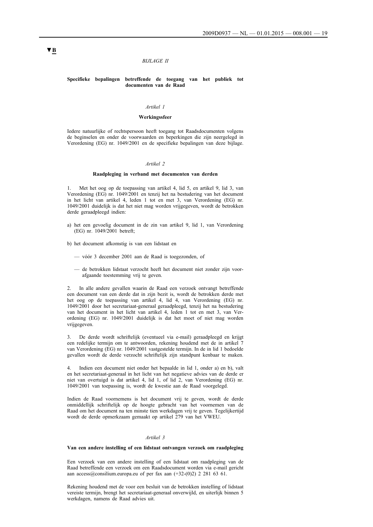#### *BIJLAGE II*

#### **Specifieke bepalingen betreffende de toegang van het publiek tot documenten van de Raad**

#### *Artikel 1*

#### **Werkingssfeer**

Iedere natuurlijke of rechtspersoon heeft toegang tot Raadsdocumenten volgens de beginselen en onder de voorwaarden en beperkingen die zijn neergelegd in Verordening (EG) nr. 1049/2001 en de specifieke bepalingen van deze bijlage.

#### *Artikel 2*

#### **Raadpleging in verband met documenten van derden**

1. Met het oog op de toepassing van artikel 4, lid 5, en artikel 9, lid 3, van Verordening (EG) nr. 1049/2001 en tenzij het na bestudering van het document in het licht van artikel 4, leden 1 tot en met 3, van Verordening (EG) nr. 1049/2001 duidelijk is dat het niet mag worden vrijgegeven, wordt de betrokken derde geraadpleegd indien:

a) het een gevoelig document in de zin van artikel 9, lid 1, van Verordening (EG) nr. 1049/2001 betreft;

b) het document afkomstig is van een lidstaat en

- vóór 3 december 2001 aan de Raad is toegezonden, of
- de betrokken lidstaat verzocht heeft het document niet zonder zijn voorafgaande toestemming vrij te geven.

2. In alle andere gevallen waarin de Raad een verzoek ontvangt betreffende een document van een derde dat in zijn bezit is, wordt de betrokken derde met het oog op de toepassing van artikel 4, lid 4, van Verordening (EG) nr. 1049/2001 door het secretariaat-generaal geraadpleegd, tenzij het na bestudering van het document in het licht van artikel 4, leden 1 tot en met 3, van Verordening (EG) nr. 1049/2001 duidelijk is dat het moet of niet mag worden vrijgegeven.

3. De derde wordt schriftelijk (eventueel via e-mail) geraadpleegd en krijgt een redelijke termijn om te antwoorden, rekening houdend met de in artikel 7 van Verordening (EG) nr. 1049/2001 vastgestelde termijn. In de in lid 1 bedoelde gevallen wordt de derde verzocht schriftelijk zijn standpunt kenbaar te maken.

4. Indien een document niet onder het bepaalde in lid 1, onder a) en b), valt en het secretariaat-generaal in het licht van het negatieve advies van de derde er niet van overtuigd is dat artikel 4, lid 1, of lid 2, van Verordening (EG) nr. 1049/2001 van toepassing is, wordt de kwestie aan de Raad voorgelegd.

Indien de Raad voornemens is het document vrij te geven, wordt de derde onmiddellijk schriftelijk op de hoogte gebracht van het voornemen van de Raad om het document na ten minste tien werkdagen vrij te geven. Tegelijkertijd wordt de derde opmerkzaam gemaakt op artikel 279 van het VWEU.

#### *Artikel 3*

#### **Van een andere instelling of een lidstaat ontvangen verzoek om raadpleging**

Een verzoek van een andere instelling of een lidstaat om raadpleging van de Raad betreffende een verzoek om een Raadsdocument worden via e-mail gericht aan access@consilium.europa.eu of per fax aan  $(+32-(0)2)$  2 281 63 61.

Rekening houdend met de voor een besluit van de betrokken instelling of lidstaat vereiste termijn, brengt het secretariaat-generaal onverwijld, en uiterlijk binnen 5 werkdagen, namens de Raad advies uit.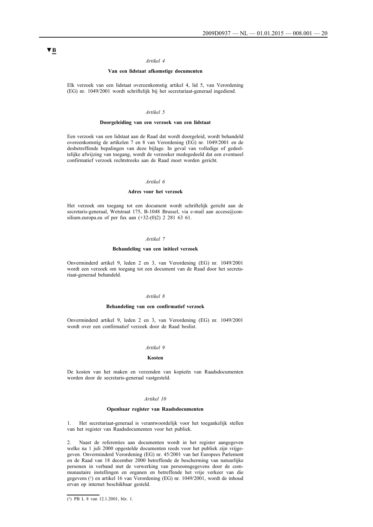#### *Artikel 4*

#### **Van een lidstaat afkomstige documenten**

Elk verzoek van een lidstaat overeenkomstig artikel 4, lid 5, van Verordening (EG) nr. 1049/2001 wordt schriftelijk bij het secretariaat-generaal ingediend.

#### *Artikel 5*

#### **Doorgeleiding van een verzoek van een lidstaat**

Een verzoek van een lidstaat aan de Raad dat wordt doorgeleid, wordt behandeld overeenkomstig de artikelen 7 en 8 van Verordening (EG) nr. 1049/2001 en de desbetreffende bepalingen van deze bijlage. In geval van volledige of gedeeltelijke afwijzing van toegang, wordt de verzoeker medegedeeld dat een eventueel confirmatief verzoek rechtstreeks aan de Raad moet worden gericht.

#### *Artikel 6*

#### **Adres voor het verzoek**

Het verzoek om toegang tot een document wordt schriftelijk gericht aan de secretaris-generaal, Wetstraat 175, B-1048 Brussel, via e-mail aan access@consilium.europa.eu of per fax aan (+32-(0)2) 2 281 63 61.

#### *Artikel 7*

#### **Behandeling van een initieel verzoek**

Onverminderd artikel 9, leden 2 en 3, van Verordening (EG) nr. 1049/2001 wordt een verzoek om toegang tot een document van de Raad door het secretariaat-generaal behandeld.

#### *Artikel 8*

#### **Behandeling van een confirmatief verzoek**

Onverminderd artikel 9, leden 2 en 3, van Verordening (EG) nr. 1049/2001 wordt over een confirmatief verzoek door de Raad beslist.

#### *Artikel 9*

#### **Kosten**

De kosten van het maken en verzenden van kopieën van Raadsdocumenten worden door de secretaris-generaal vastgesteld.

#### *Artikel 10*

#### **Openbaar register van Raadsdocumenten**

1. Het secretariaat-generaal is verantwoordelijk voor het toegankelijk stellen van het register van Raadsdocumenten voor het publiek.

2. Naast de referenties aan documenten wordt in het register aangegeven welke na 1 juli 2000 opgestelde documenten reeds voor het publiek zijn vrijgegeven. Onverminderd Verordening (EG) nr. 45/2001 van het Europees Parlement en de Raad van 18 december 2000 betreffende de bescherming van natuurlijke personen in verband met de verwerking van persoonsgegevens door de communautaire instellingen en organen en betreffende het vrije verkeer van die gegevens (1) en artikel 16 van Verordening (EG) nr. 1049/2001, wordt de inhoud ervan op internet beschikbaar gesteld.

<sup>(1)</sup> PB L 8 van 12.1.2001, blz. 1.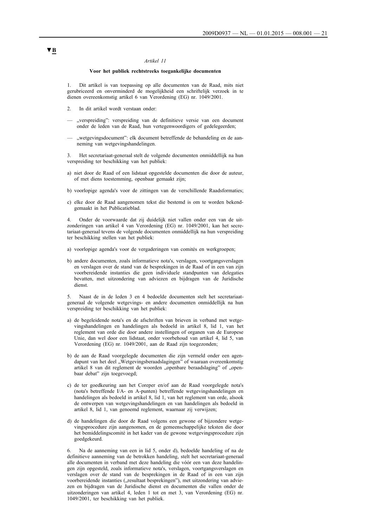#### *Artikel 11*

#### **Voor het publiek rechtstreeks toegankelijke documenten**

1. Dit artikel is van toepassing op alle documenten van de Raad, mits niet gerubriceerd en onverminderd de mogelijkheid een schriftelijk verzoek in te dienen overeenkomstig artikel 6 van Verordening (EG) nr. 1049/2001.

- In dit artikel wordt verstaan onder:
- "verspreiding": verspreiding van de definitieve versie van een document onder de leden van de Raad, hun vertegenwoordigers of gedelegeerden;
- "wetgevingsdocument": elk document betreffende de behandeling en de aanneming van wetgevingshandelingen.

3. Het secretariaat-generaal stelt de volgende documenten onmiddellijk na hun verspreiding ter beschikking van het publiek:

- a) niet door de Raad of een lidstaat opgestelde documenten die door de auteur, of met diens toestemming, openbaar gemaakt zijn;
- b) voorlopige agenda's voor de zittingen van de verschillende Raadsformaties;
- c) elke door de Raad aangenomen tekst die bestemd is om te worden bekendgemaakt in het Publicatieblad.

4. Onder de voorwaarde dat zij duidelijk niet vallen onder een van de uitzonderingen van artikel 4 van Verordening (EG) nr. 1049/2001, kan het secretariaat-generaal tevens de volgende documenten onmiddellijk na hun verspreiding ter beschikking stellen van het publiek:

- a) voorlopige agenda's voor de vergaderingen van comités en werkgroepen;
- b) andere documenten, zoals informatieve nota's, verslagen, voortgangsverslagen en verslagen over de stand van de besprekingen in de Raad of in een van zijn voorbereidende instanties die geen individuele standpunten van delegaties bevatten, met uitzondering van adviezen en bijdragen van de Juridische dienst.

5. Naast de in de leden 3 en 4 bedoelde documenten stelt het secretariaatgeneraal de volgende wetgevings- en andere documenten onmiddellijk na hun verspreiding ter beschikking van het publiek:

- a) de begeleidende nota's en de afschriften van brieven in verband met wetgevingshandelingen en handelingen als bedoeld in artikel 8, lid 1, van het reglement van orde die door andere instellingen of organen van de Europese Unie, dan wel door een lidstaat, onder voorbehoud van artikel 4, lid 5, van Verordening (EG) nr. 1049/2001, aan de Raad zijn toegezonden;
- b) de aan de Raad voorgelegde documenten die zijn vermeld onder een agendapunt van het deel "Wetgevingsberaadslagingen" of waaraan overeenkomstig artikel 8 van dit reglement de woorden "openbare beraadslaging" of "openbaar debat" zijn toegevoegd;
- c) de ter goedkeuring aan het Coreper en/of aan de Raad voorgelegde nota's (nota's betreffende I/A- en A-punten) betreffende wetgevingshandelingen en handelingen als bedoeld in artikel 8, lid 1, van het reglement van orde, alsook de ontwerpen van wetgevingshandelingen en van handelingen als bedoeld in artikel 8, lid 1, van genoemd reglement, waarnaar zij verwijzen;
- d) de handelingen die door de Raad volgens een gewone of bijzondere wetgevingsprocedure zijn aangenomen, en de gemeenschappelijke teksten die door het bemiddelingscomité in het kader van de gewone wetgevingsprocedure zijn goedgekeurd.

6. Na de aanneming van een in lid 5, onder d), bedoelde handeling of na de definitieve aanneming van de betrokken handeling, stelt het secretariaat-generaal alle documenten in verband met deze handeling die vóór een van deze handelingen zijn opgesteld, zoals informatieve nota's, verslagen, voortgangsverslagen en verslagen over de stand van de besprekingen in de Raad of in een van zijn voorbereidende instanties ("resultaat besprekingen"), met uitzondering van adviezen en bijdragen van de Juridische dienst en documenten die vallen onder de uitzonderingen van artikel 4, leden 1 tot en met 3, van Verordening (EG) nr. 1049/2001, ter beschikking van het publiek.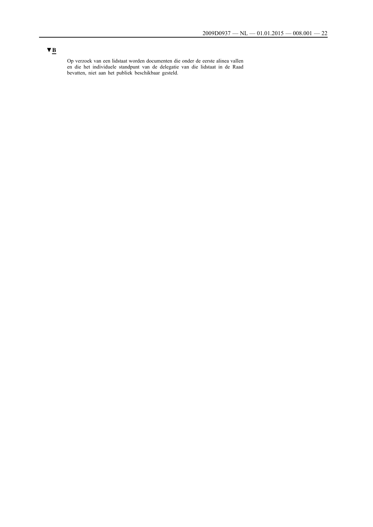Op verzoek van een lidstaat worden documenten die onder de eerste alinea vallen en die het individuele standpunt van de delegatie van die lidstaat in de Raad bevatten, niet aan het publiek beschikbaar gesteld.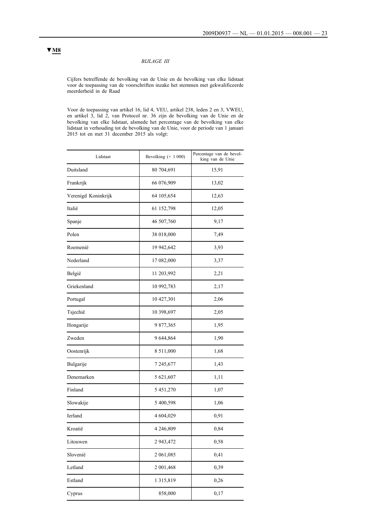#### *BIJLAGE III*

Cijfers betreffende de bevolking van de Unie en de bevolking van elke lidstaat voor de toepassing van de voorschriften inzake het stemmen met gekwalificeerde meerderheid in de Raad

Voor de toepassing van artikel 16, lid 4, VEU, artikel 238, leden 2 en 3, VWEU, en artikel 3, lid 2, van Protocol nr. 36 zijn de bevolking van de Unie en de bevolking van elke lidstaat, alsmede het percentage van de bevolking van elke lidstaat in verhouding tot de bevolking van de Unie, voor de periode van 1 januari 2015 tot en met 31 december 2015 als volgt:

| Lidstaat            | Bevolking $(x 1000)$ | Percentage van de bevol-<br>king van de Unie |
|---------------------|----------------------|----------------------------------------------|
| Duitsland           | 80 704,691           | 15,91                                        |
| Frankrijk           | 66 076,909           | 13,02                                        |
| Verenigd Koninkrijk | 64 105,654           | 12,63                                        |
| Italië              | 61 152,798           | 12,05                                        |
| Spanje              | 46 507,760           | 9,17                                         |
| Polen               | 38 018,000           | 7,49                                         |
| Roemenië            | 19 942,642           | 3,93                                         |
| Nederland           | 17 082,000           | 3,37                                         |
| België              | 11 203,992           | 2,21                                         |
| Griekenland         | 10 992,783           | 2,17                                         |
| Portugal            | 10 427,301           | 2,06                                         |
| Tsjechië            | 10 398,697           | 2,05                                         |
| Hongarije           | 9877,365             | 1,95                                         |
| Zweden              | 9 644,864            | 1,90                                         |
| Oostenrijk          | 8 5 1 1,000          | 1,68                                         |
| Bulgarije           | 7 245,677            | 1,43                                         |
| Denemarken          | 5 621,607            | 1,11                                         |
| Finland             | 5 451,270            | 1,07                                         |
| Slowakije           | 5 400,598            | 1,06                                         |
| Ierland             | 4 604,029            | 0,91                                         |
| Kroatië             | 4 2 4 6,809          | 0,84                                         |
| Litouwen            | 2 943,472            | 0,58                                         |
| Slovenië            | 2 061,085            | 0,41                                         |
| Letland             | 2 001,468            | 0,39                                         |
| Estland             | 1315,819             | 0,26                                         |
| Cyprus              | 858,000              | 0,17                                         |

## **▼M8**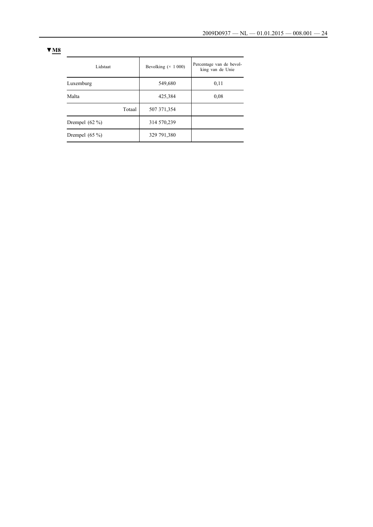| × |  |
|---|--|
|   |  |

| Lidstaat         | Bevolking $(\times 1000)$ | Percentage van de bevol-<br>king van de Unie |
|------------------|---------------------------|----------------------------------------------|
| Luxemburg        | 549,680                   | 0,11                                         |
| Malta            | 425,384                   | 0.08                                         |
| Totaal           | 507 371,354               |                                              |
| Drempel $(62\%)$ | 314 570,239               |                                              |
| Drempel $(65\%)$ | 329 791,380               |                                              |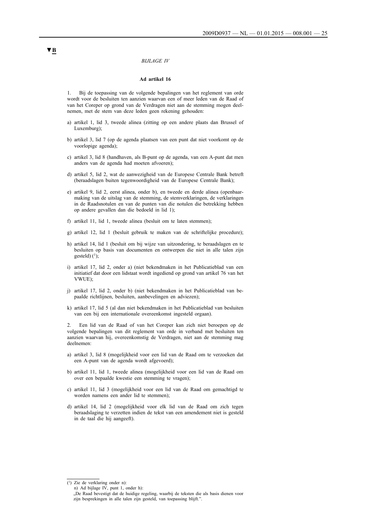#### *BIJLAGE IV*

#### **Ad artikel 16**

1. Bij de toepassing van de volgende bepalingen van het reglement van orde wordt voor de besluiten ten aanzien waarvan een of meer leden van de Raad of van het Coreper op grond van de Verdragen niet aan de stemming mogen deelnemen, met de stem van deze leden geen rekening gehouden:

- a) artikel 1, lid 3, tweede alinea (zitting op een andere plaats dan Brussel of Luxemburg);
- b) artikel 3, lid 7 (op de agenda plaatsen van een punt dat niet voorkomt op de voorlopige agenda);
- c) artikel 3, lid 8 (handhaven, als B-punt op de agenda, van een A-punt dat men anders van de agenda had moeten afvoeren);
- d) artikel 5, lid 2, wat de aanwezigheid van de Europese Centrale Bank betreft (beraadslagen buiten tegenwoordigheid van de Europese Centrale Bank);
- e) artikel 9, lid 2, eerst alinea, onder b), en tweede en derde alinea (openbaarmaking van de uitslag van de stemming, de stemverklaringen, de verklaringen in de Raadsnotulen en van de punten van die notulen die betrekking hebben op andere gevallen dan die bedoeld in lid 1);
- f) artikel 11, lid 1, tweede alinea (besluit om te laten stemmen);
- g) artikel 12, lid 1 (besluit gebruik te maken van de schriftelijke procedure);
- h) artikel 14, lid 1 (besluit om bij wijze van uitzondering, te beraadslagen en te besluiten op basis van documenten en ontwerpen die niet in alle talen zijn gesteld) $(1)$ ;
- i) artikel 17, lid 2, onder a) (niet bekendmaken in het Publicatieblad van een initiatief dat door een lidstaat wordt ingediend op grond van artikel 76 van het VWUE);
- j) artikel 17, lid 2, onder b) (niet bekendmaken in het Publicatieblad van bepaalde richtlijnen, besluiten, aanbevelingen en adviezen);
- k) artikel 17, lid 5 (al dan niet bekendmaken in het Publicatieblad van besluiten van een bij een internationale overeenkomst ingesteld orgaan).

2. Een lid van de Raad of van het Coreper kan zich niet beroepen op de volgende bepalingen van dit reglement van orde in verband met besluiten ten aanzien waarvan hij, overeenkomstig de Verdragen, niet aan de stemming mag deelnemen:

- a) artikel 3, lid 8 (mogelijkheid voor een lid van de Raad om te verzoeken dat een A-punt van de agenda wordt afgevoerd);
- b) artikel 11, lid 1, tweede alinea (mogelijkheid voor een lid van de Raad om over een bepaalde kwestie een stemming te vragen);
- c) artikel 11, lid 3 (mogelijkheid voor een lid van de Raad om gemachtigd te worden namens een ander lid te stemmen);
- d) artikel 14, lid 2 (mogelijkheid voor elk lid van de Raad om zich tegen beraadslaging te verzetten indien de tekst van een amendement niet is gesteld in de taal die hij aangeeft).

(1) Zie de verklaring onder n):

n) Ad bijlage IV, punt 1, onder h):

<sup>&</sup>quot;De Raad bevestigt dat de huidige regeling, waarbij de teksten die als basis dienen voor zijn besprekingen in alle talen zijn gesteld, van toepassing blijft."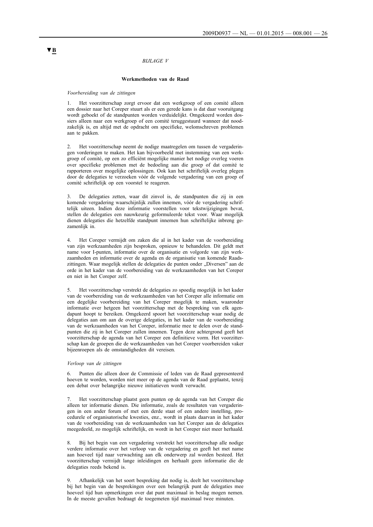#### *BIJLAGE V*

#### **Werkmethoden van de Raad**

*Voorbereiding van de zittingen*

1. Het voorzitterschap zorgt ervoor dat een werkgroep of een comité alleen een dossier naar het Coreper stuurt als er een gerede kans is dat daar vooruitgang wordt geboekt of de standpunten worden verduidelijkt. Omgekeerd worden dossiers alleen naar een werkgroep of een comité teruggestuurd wanneer dat noodzakelijk is, en altijd met de opdracht om specifieke, welomschreven problemen aan te pakken.

2. Het voorzitterschap neemt de nodige maatregelen om tussen de vergaderingen vorderingen te maken. Het kan bijvoorbeeld met instemming van een werkgroep of comité, op een zo efficiënt mogelijke manier het nodige overleg voeren over specifieke problemen met de bedoeling aan die groep of dat comité te rapporteren over mogelijke oplossingen. Ook kan het schriftelijk overleg plegen door de delegaties te verzoeken vóór de volgende vergadering van een groep of comité schriftelijk op een voorstel te reageren.

3. De delegaties zetten, waar dit zinvol is, de standpunten die zij in een komende vergadering waarschijnlijk zullen innemen, vóór de vergadering schriftelijk uiteen. Indien deze informatie voorstellen voor tekstwijzigingen bevat, stellen de delegaties een nauwkeurig geformuleerde tekst voor. Waar mogelijk dienen delegaties die hetzelfde standpunt innemen hun schriftelijke inbreng gezamenlijk in.

4. Het Coreper vermijdt om zaken die al in het kader van de voorbereiding van zijn werkzaamheden zijn besproken, opnieuw te behandelen. Dit geldt met name voor I-punten, informatie over de organisatie en volgorde van zijn werkzaamheden en informatie over de agenda en de organisatie van komende Raadszittingen. Waar mogelijk stellen de delegaties de punten onder "Diversen" aan de orde in het kader van de voorbereiding van de werkzaamheden van het Coreper en niet in het Coreper zelf.

5. Het voorzitterschap verstrekt de delegaties zo spoedig mogelijk in het kader van de voorbereiding van de werkzaamheden van het Coreper alle informatie om een degelijke voorbereiding van het Coreper mogelijk te maken, waaronder informatie over hetgeen het voorzitterschap met de bespreking van elk agendapunt hoopt te bereiken. Omgekeerd spoort het voorzitterschap waar nodig de delegaties aan om aan de overige delegaties, in het kader van de voorbereiding van de werkzaamheden van het Coreper, informatie mee te delen over de standpunten die zij in het Coreper zullen innemen. Tegen deze achtergrond geeft het voorzitterschap de agenda van het Coreper een definitieve vorm. Het voorzitterschap kan de groepen die de werkzaamheden van het Coreper voorbereiden vaker bijeenroepen als de omstandigheden dit vereisen.

#### *Verloop van de zittingen*

6. Punten die alleen door de Commissie of leden van de Raad gepresenteerd hoeven te worden, worden niet meer op de agenda van de Raad geplaatst, tenzij een debat over belangrijke nieuwe initiatieven wordt verwacht.

7. Het voorzitterschap plaatst geen punten op de agenda van het Coreper die alleen ter informatie dienen. Die informatie, zoals de resultaten van vergaderingen in een ander forum of met een derde staat of een andere instelling, procedurele of organisatorische kwesties, enz., wordt in plaats daarvan in het kader van de voorbereiding van de werkzaamheden van het Coreper aan de delegaties meegedeeld, zo mogelijk schriftelijk, en wordt in het Coreper niet meer herhaald.

8. Bij het begin van een vergadering verstrekt het voorzitterschap alle nodige verdere informatie over het verloop van de vergadering en geeft het met name aan hoeveel tijd naar verwachting aan elk onderwerp zal worden besteed. Het voorzitterschap vermijdt lange inleidingen en herhaalt geen informatie die de delegaties reeds bekend is.

9. Afhankelijk van het soort bespreking dat nodig is, deelt het voorzitterschap bij het begin van de besprekingen over een belangrijk punt de delegaties mee hoeveel tijd hun opmerkingen over dat punt maximaal in beslag mogen nemen. In de meeste gevallen bedraagt de toegemeten tijd maximaal twee minuten.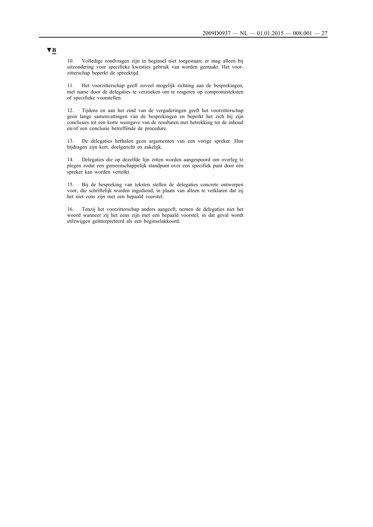10. Volledige rondvragen zijn in beginsel niet toegestaan; er mag alleen bij uitzondering voor specifieke kwesties gebruik van worden gemaakt. Het voorzitterschap beperkt de spreektijd.

11. Het voorzitterschap geeft zoveel mogelijk richting aan de besprekingen, met name door de delegaties te verzoeken om te reageren op compromisteksten of specifieke voorstellen.

12. Tijdens en aan het eind van de vergaderingen geeft het voorzitterschap geen lange samenvattingen van de besprekingen en beperkt het zich bij zijn conclusies tot een korte weergave van de resultaten met betrekking tot de inhoud en/of een conclusie betreffende de procedure.

13. De delegaties herhalen geen argumenten van een vorige spreker. Hun bijdragen zijn kort, doelgericht en zakelijk.

14. Delegaties die op dezelfde lijn zitten worden aangespoord om overleg te plegen zodat een gemeenschappelijk standpunt over een specifiek punt door één spreker kan worden vertolkt.

15. Bij de bespreking van teksten stellen de delegaties concrete ontwerpen voor, die schriftelijk worden ingediend, in plaats van alleen te verklaren dat zij het niet eens zijn met een bepaald voorstel.

16. Tenzij het voorzitterschap anders aangeeft, nemen de delegaties niet het woord wanneer zij het eens zijn met een bepaald voorstel; in dat geval wordt stilzwijgen geïnterpreteerd als een beginselakkoord.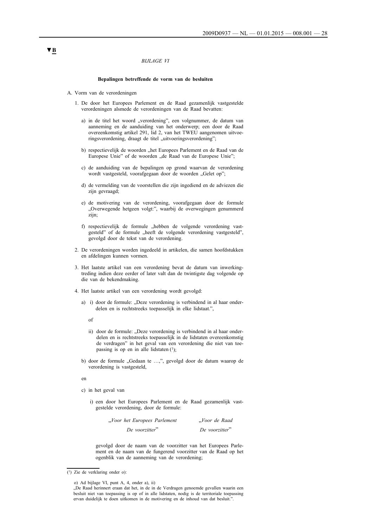#### *BIJLAGE VI*

#### **Bepalingen betreffende de vorm van de besluiten**

- A. Vorm van de verordeningen
	- 1. De door het Europees Parlement en de Raad gezamenlijk vastgestelde verordeningen alsmede de verordeningen van de Raad bevatten:
		- a) in de titel het woord "verordening", een volgnummer, de datum van aanneming en de aanduiding van het onderwerp; een door de Raad overeenkomstig artikel 291, lid 2, van het TWEU aangenomen uitvoeringsverordening, draagt de titel "uitvoeringsverordening";
		- b) respectievelijk de woorden "het Europees Parlement en de Raad van de Europese Unie" of de woorden "de Raad van de Europese Unie";
		- c) de aanduiding van de bepalingen op grond waarvan de verordening wordt vastgesteld, voorafgegaan door de woorden "Gelet op";
		- d) de vermelding van de voorstellen die zijn ingediend en de adviezen die zijn gevraagd;
		- e) de motivering van de verordening, voorafgegaan door de formule "Overwegende hetgeen volgt:", waarbij de overwegingen genummerd zijn;
		- f) respectievelijk de formule "hebben de volgende verordening vastgesteld" of de formule "heeft de volgende verordening vastgesteld", gevolgd door de tekst van de verordening.
	- 2. De verordeningen worden ingedeeld in artikelen, die samen hoofdstukken en afdelingen kunnen vormen.
	- 3. Het laatste artikel van een verordening bevat de datum van inwerkingtreding indien deze eerder of later valt dan de twintigste dag volgende op die van de bekendmaking.
	- 4. Het laatste artikel van een verordening wordt gevolgd:
		- a) i) door de formule: "Deze verordening is verbindend in al haar onderdelen en is rechtstreeks toepasselijk in elke lidstaat.",
			- of
			- ii) door de formule: "Deze verordening is verbindend in al haar onderdelen en is rechtstreeks toepasselijk in de lidstaten overeenkomstig de verdragen" in het geval van een verordening die niet van toepassing is op en in alle lidstaten (1);
		- b) door de formule "Gedaan te ...,", gevolgd door de datum waarop de verordening is vastgesteld,

en

- c) in het geval van
	- i) een door het Europees Parlement en de Raad gezamenlijk vastgestelde verordening, door de formule:

| "Voor het Europees Parlement | "Voor de Raad  |
|------------------------------|----------------|
| De voorzitter"               | De voorzitter" |

gevolgd door de naam van de voorzitter van het Europees Parlement en de naam van de fungerend voorzitter van de Raad op het ogenblik van de aanneming van de verordening;

<sup>(1)</sup> Zie de verklaring onder o):

o) Ad bijlage VI, punt A, 4, onder a), ii)

<sup>&</sup>quot;De Raad herinnert eraan dat het, in de in de Verdragen genoemde gevallen waarin een besluit niet van toepassing is op of in alle lidstaten, nodig is de territoriale toepassing ervan duidelijk te doen uitkomen in de motivering en de inhoud van dat besluit.